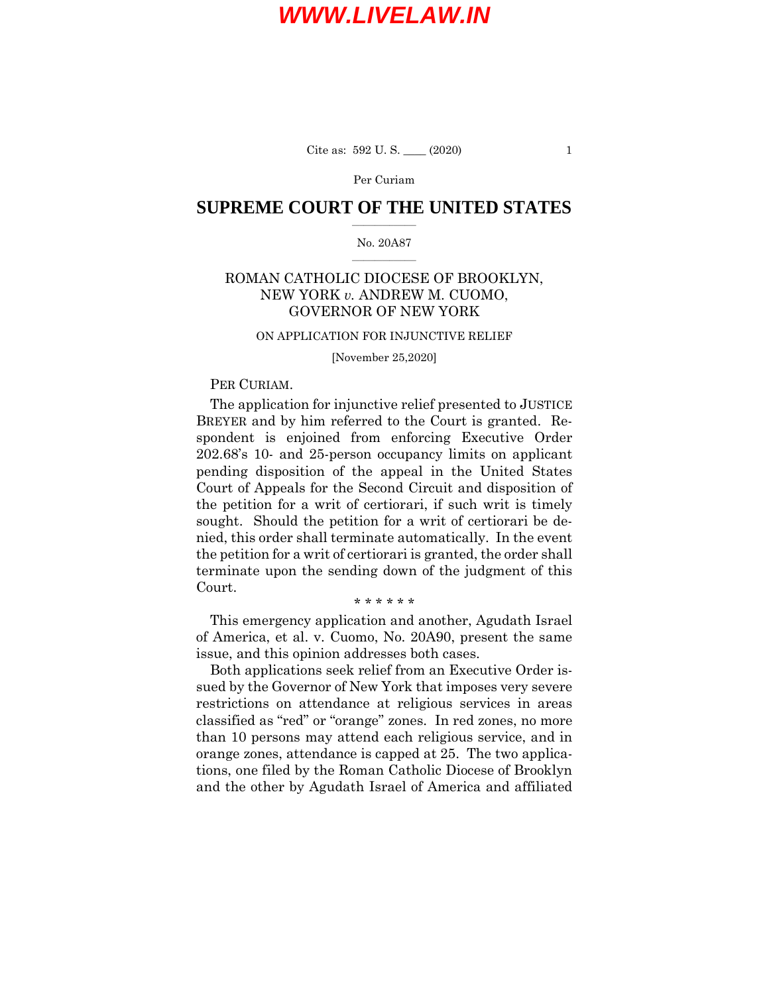Cite as: 592 U.S. \_\_\_\_ (2020) 1

Per Curiam

### **SUPREME COURT OF THE UNITED STATES**  $\overline{\phantom{a}}$  , where  $\overline{\phantom{a}}$

#### No. 20A87  $\overline{\phantom{a}}$  , where  $\overline{\phantom{a}}$

### ROMAN CATHOLIC DIOCESE OF BROOKLYN, NEW YORK *v.* ANDREW M. CUOMO, GOVERNOR OF NEW YORK

#### ON APPLICATION FOR INJUNCTIVE RELIEF

[November 25,2020]

### PER CURIAM.

The application for injunctive relief presented to JUSTICE BREYER and by him referred to the Court is granted. Respondent is enjoined from enforcing Executive Order 202.68's 10- and 25-person occupancy limits on applicant pending disposition of the appeal in the United States Court of Appeals for the Second Circuit and disposition of the petition for a writ of certiorari, if such writ is timely sought. Should the petition for a writ of certiorari be denied, this order shall terminate automatically. In the event the petition for a writ of certiorari is granted, the order shall terminate upon the sending down of the judgment of this Court.

\* \* \* \* \* \*

This emergency application and another, Agudath Israel of America, et al. v. Cuomo, No. 20A90, present the same issue, and this opinion addresses both cases.

Both applications seek relief from an Executive Order issued by the Governor of New York that imposes very severe restrictions on attendance at religious services in areas classified as "red" or "orange" zones. In red zones, no more than 10 persons may attend each religious service, and in orange zones, attendance is capped at 25. The two applications, one filed by the Roman Catholic Diocese of Brooklyn and the other by Agudath Israel of America and affiliated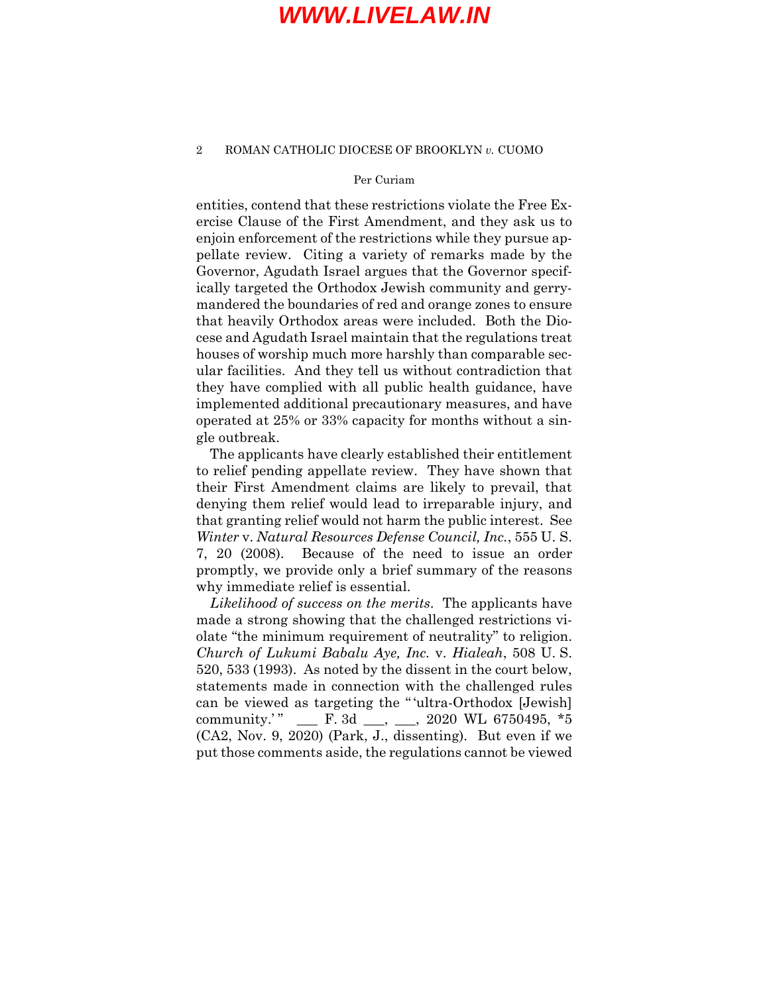#### 2 ROMAN CATHOLIC DIOCESE OF BROOKLYN *v.* CUOMO

### Per Curiam

entities, contend that these restrictions violate the Free Exercise Clause of the First Amendment, and they ask us to enjoin enforcement of the restrictions while they pursue appellate review. Citing a variety of remarks made by the Governor, Agudath Israel argues that the Governor specifically targeted the Orthodox Jewish community and gerrymandered the boundaries of red and orange zones to ensure that heavily Orthodox areas were included. Both the Diocese and Agudath Israel maintain that the regulations treat houses of worship much more harshly than comparable secular facilities. And they tell us without contradiction that they have complied with all public health guidance, have implemented additional precautionary measures, and have operated at 25% or 33% capacity for months without a single outbreak.

The applicants have clearly established their entitlement to relief pending appellate review. They have shown that their First Amendment claims are likely to prevail, that denying them relief would lead to irreparable injury, and that granting relief would not harm the public interest. See *Winter* v. *Natural Resources Defense Council, Inc.*, 555 U. S. 7, 20 (2008). Because of the need to issue an order promptly, we provide only a brief summary of the reasons why immediate relief is essential.

 (CA2, Nov. 9, 2020) (Park, J., dissenting). But even if we *Likelihood of success on the merits*. The applicants have made a strong showing that the challenged restrictions violate "the minimum requirement of neutrality" to religion. *Church of Lukumi Babalu Aye, Inc.* v. *Hialeah*, 508 U. S. 520, 533 (1993). As noted by the dissent in the court below, statements made in connection with the challenged rules can be viewed as targeting the " 'ultra-Orthodox [Jewish] community.'" \_\_\_ F. 3d \_\_, \_\_, 2020 WL 6750495,  $*5$ put those comments aside, the regulations cannot be viewed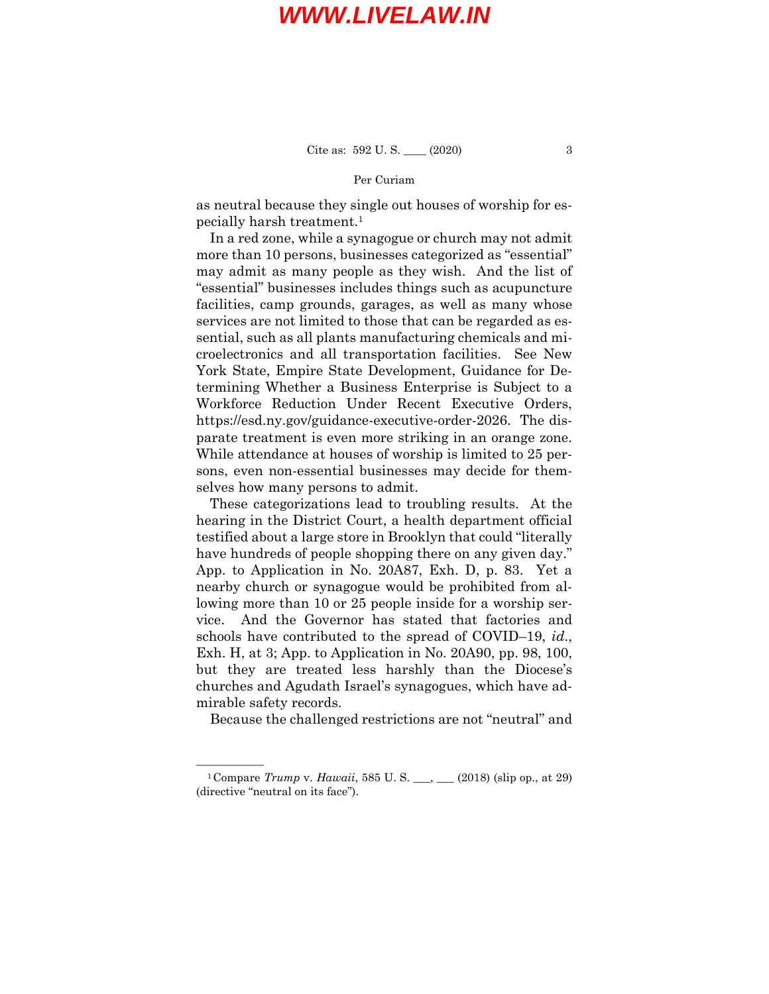Cite as: 592 U.S. \_\_\_\_ (2020) 3

### Per Curiam

as neutral because they single out houses of worship for especially harsh treatment.1

 parate treatment is even more striking in an orange zone. In a red zone, while a synagogue or church may not admit more than 10 persons, businesses categorized as "essential" may admit as many people as they wish. And the list of "essential" businesses includes things such as acupuncture facilities, camp grounds, garages, as well as many whose services are not limited to those that can be regarded as essential, such as all plants manufacturing chemicals and microelectronics and all transportation facilities. See New York State, Empire State Development, Guidance for Determining Whether a Business Enterprise is Subject to a Workforce Reduction Under Recent Executive Orders, [https://esd.ny.gov/guidance-executive-order-2026.](https://esd.ny.gov/guidance-executive-order-2026) The dis-While attendance at houses of worship is limited to 25 persons, even non-essential businesses may decide for themselves how many persons to admit.

These categorizations lead to troubling results. At the hearing in the District Court, a health department official testified about a large store in Brooklyn that could "literally have hundreds of people shopping there on any given day." App. to Application in No. 20A87, Exh. D, p. 83. Yet a nearby church or synagogue would be prohibited from allowing more than 10 or 25 people inside for a worship service. And the Governor has stated that factories and schools have contributed to the spread of COVID–19, *id*., Exh. H, at 3; App. to Application in No. 20A90, pp. 98, 100, but they are treated less harshly than the Diocese's churches and Agudath Israel's synagogues, which have admirable safety records.

Because the challenged restrictions are not "neutral" and

<sup>&</sup>lt;sup>1</sup> Compare *Trump* v. *Hawaii*, 585 U. S. \_\_, \_\_ (2018) (slip op., at 29) (directive "neutral on its face").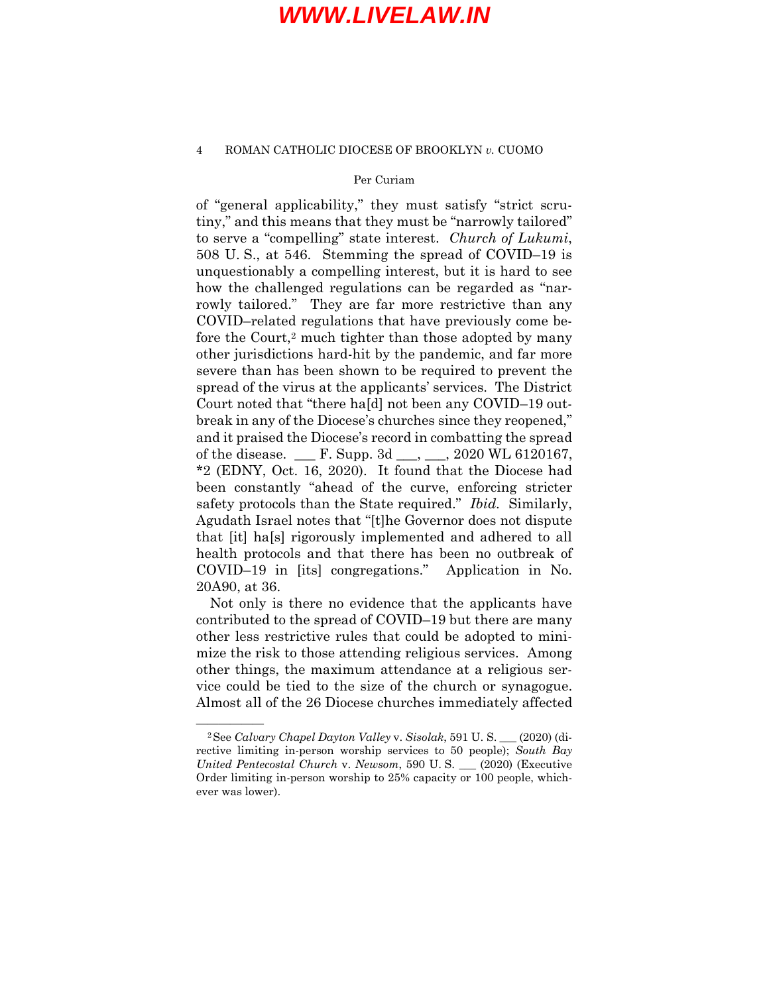#### 4 ROMAN CATHOLIC DIOCESE OF BROOKLYN *v.* CUOMO

### Per Curiam

of "general applicability," they must satisfy "strict scrutiny," and this means that they must be "narrowly tailored" to serve a "compelling" state interest. *Church of Lukumi*, 508 U. S., at 546. Stemming the spread of COVID–19 is unquestionably a compelling interest, but it is hard to see how the challenged regulations can be regarded as "narrowly tailored." They are far more restrictive than any COVID–related regulations that have previously come before the Court,<sup>2</sup> much tighter than those adopted by many other jurisdictions hard-hit by the pandemic, and far more severe than has been shown to be required to prevent the spread of the virus at the applicants' services. The District Court noted that "there ha[d] not been any COVID–19 outbreak in any of the Diocese's churches since they reopened," and it praised the Diocese's record in combatting the spread of the disease. \_\_\_ F. Supp. 3d \_\_\_, \_\_\_, 2020 WL 6120167, \*2 (EDNY, Oct. 16, 2020). It found that the Diocese had been constantly "ahead of the curve, enforcing stricter safety protocols than the State required." *Ibid.* Similarly, Agudath Israel notes that "[t]he Governor does not dispute that [it] ha[s] rigorously implemented and adhered to all health protocols and that there has been no outbreak of COVID–19 in [its] congregations." Application in No. 20A90, at 36.

Not only is there no evidence that the applicants have contributed to the spread of COVID–19 but there are many other less restrictive rules that could be adopted to minimize the risk to those attending religious services. Among other things, the maximum attendance at a religious service could be tied to the size of the church or synagogue. Almost all of the 26 Diocese churches immediately affected

<sup>—————— 2</sup>See *Calvary Chapel Dayton Valley* v. *Sisolak*, 591 U. S. \_\_\_ (2020) (directive limiting in-person worship services to 50 people); *South Bay United Pentecostal Church* v. *Newsom*, 590 U. S. \_\_\_ (2020) (Executive Order limiting in-person worship to 25% capacity or 100 people, whichever was lower).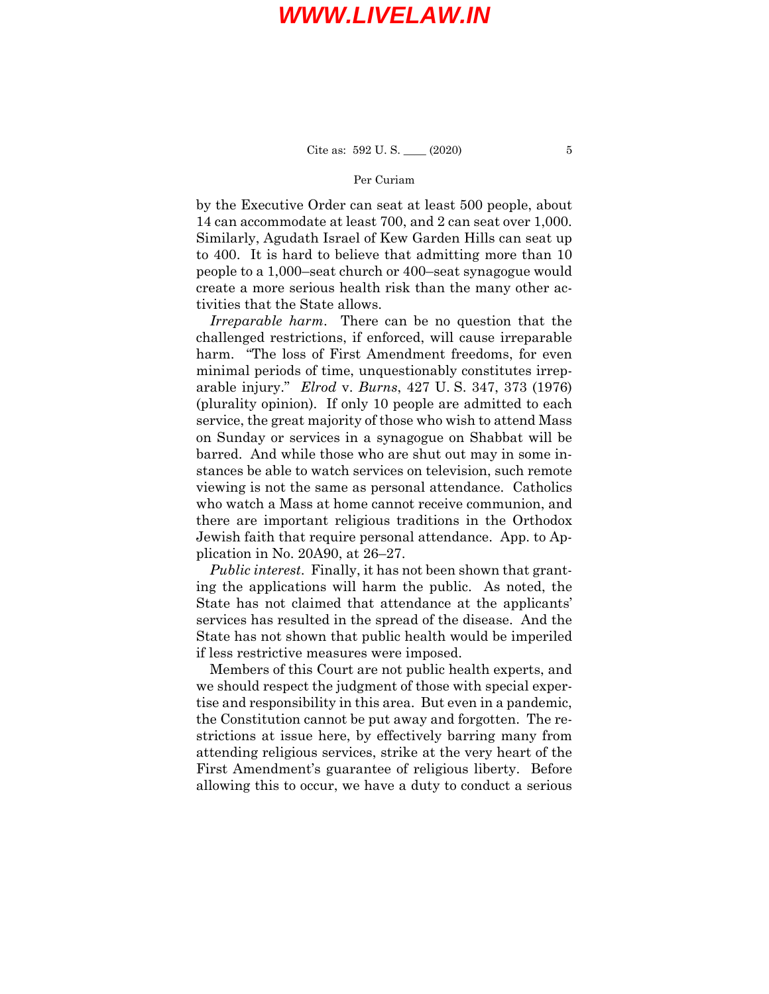Cite as: 592 U.S. \_\_\_\_ (2020) 5

### Per Curiam

by the Executive Order can seat at least 500 people, about 14 can accommodate at least 700, and 2 can seat over 1,000. Similarly, Agudath Israel of Kew Garden Hills can seat up to 400. It is hard to believe that admitting more than 10 people to a 1,000–seat church or 400–seat synagogue would create a more serious health risk than the many other activities that the State allows.

 *Irreparable harm*. There can be no question that the challenged restrictions, if enforced, will cause irreparable harm. "The loss of First Amendment freedoms, for even minimal periods of time, unquestionably constitutes irreparable injury." *Elrod* v. *Burns*, 427 U. S. 347, 373 (1976) (plurality opinion). If only 10 people are admitted to each service, the great majority of those who wish to attend Mass on Sunday or services in a synagogue on Shabbat will be barred. And while those who are shut out may in some instances be able to watch services on television, such remote viewing is not the same as personal attendance. Catholics who watch a Mass at home cannot receive communion, and there are important religious traditions in the Orthodox Jewish faith that require personal attendance. App. to Application in No. 20A90, at 26–27.

 *Public interest*. Finally, it has not been shown that granting the applications will harm the public. As noted, the State has not claimed that attendance at the applicants' services has resulted in the spread of the disease. And the State has not shown that public health would be imperiled if less restrictive measures were imposed.

Members of this Court are not public health experts, and we should respect the judgment of those with special expertise and responsibility in this area. But even in a pandemic, the Constitution cannot be put away and forgotten. The restrictions at issue here, by effectively barring many from attending religious services, strike at the very heart of the First Amendment's guarantee of religious liberty. Before allowing this to occur, we have a duty to conduct a serious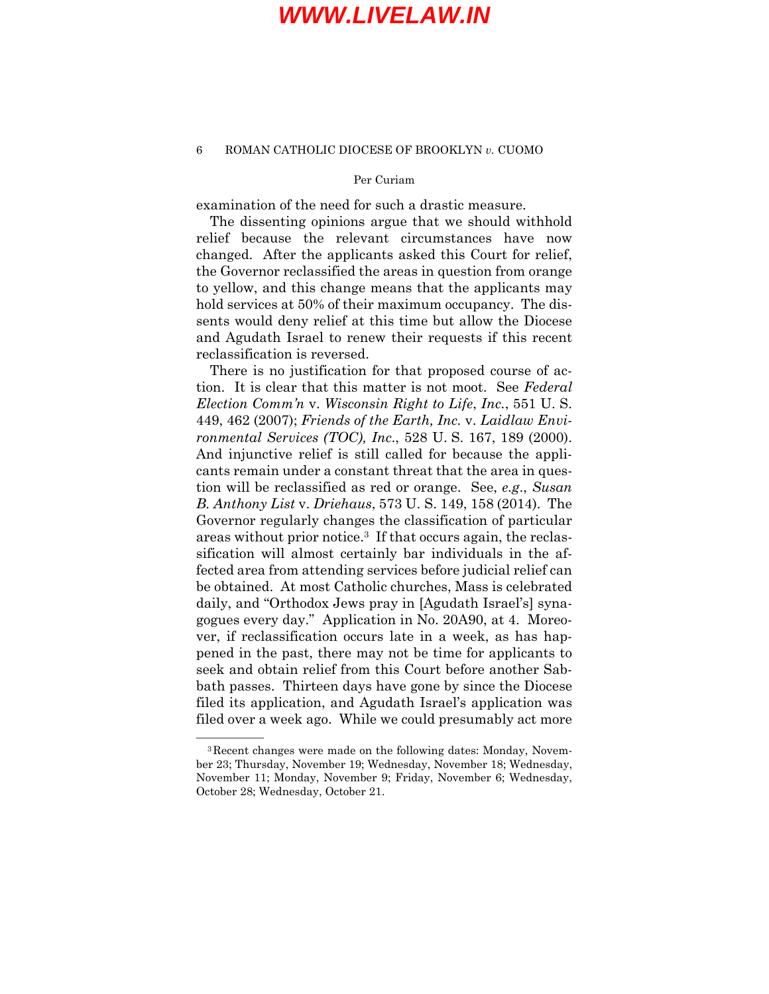#### 6 ROMAN CATHOLIC DIOCESE OF BROOKLYN *v.* CUOMO

### Per Curiam

examination of the need for such a drastic measure.

The dissenting opinions argue that we should withhold relief because the relevant circumstances have now changed. After the applicants asked this Court for relief, the Governor reclassified the areas in question from orange to yellow, and this change means that the applicants may hold services at 50% of their maximum occupancy. The dissents would deny relief at this time but allow the Diocese and Agudath Israel to renew their requests if this recent reclassification is reversed.

There is no justification for that proposed course of action. It is clear that this matter is not moot. See *Federal Election Comm'n* v. *Wisconsin Right to Life*, *Inc.*, 551 U. S. 449, 462 (2007); *Friends of the Earth, Inc.* v. *Laidlaw Environmental Services (TOC), Inc*., 528 U. S. 167, 189 (2000). And injunctive relief is still called for because the applicants remain under a constant threat that the area in question will be reclassified as red or orange. See, *e.g*., *Susan B. Anthony List* v. *Driehaus*, 573 U. S. 149, 158 (2014). The Governor regularly changes the classification of particular areas without prior notice.3 If that occurs again, the reclassification will almost certainly bar individuals in the affected area from attending services before judicial relief can be obtained. At most Catholic churches, Mass is celebrated daily, and "Orthodox Jews pray in [Agudath Israel's] synagogues every day." Application in No. 20A90, at 4. Moreover, if reclassification occurs late in a week, as has happened in the past, there may not be time for applicants to seek and obtain relief from this Court before another Sabbath passes. Thirteen days have gone by since the Diocese filed its application, and Agudath Israel's application was filed over a week ago. While we could presumably act more

<sup>&</sup>lt;sup>3</sup>Recent changes were made on the following dates: Monday, November 23; Thursday, November 19; Wednesday, November 18; Wednesday, November 11; Monday, November 9; Friday, November 6; Wednesday, October 28; Wednesday, October 21.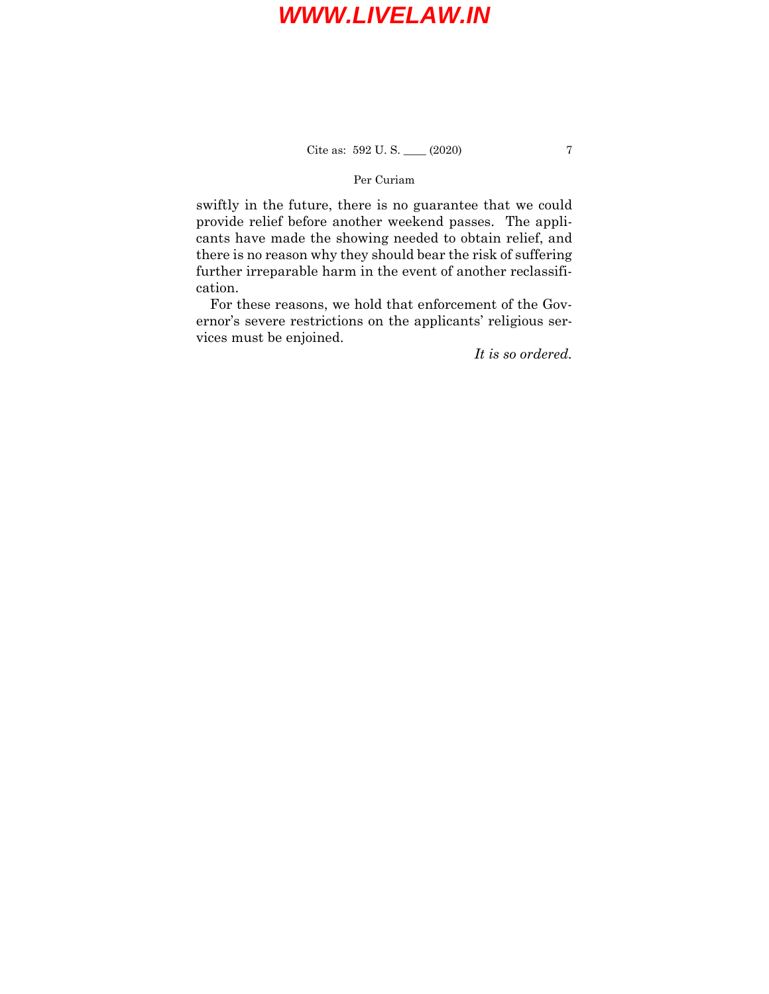Cite as: 592 U.S. \_\_\_\_ (2020) 7

### Per Curiam

swiftly in the future, there is no guarantee that we could provide relief before another weekend passes. The applicants have made the showing needed to obtain relief, and there is no reason why they should bear the risk of suffering further irreparable harm in the event of another reclassification.

For these reasons, we hold that enforcement of the Governor's severe restrictions on the applicants' religious services must be enjoined.

*It is so ordered.*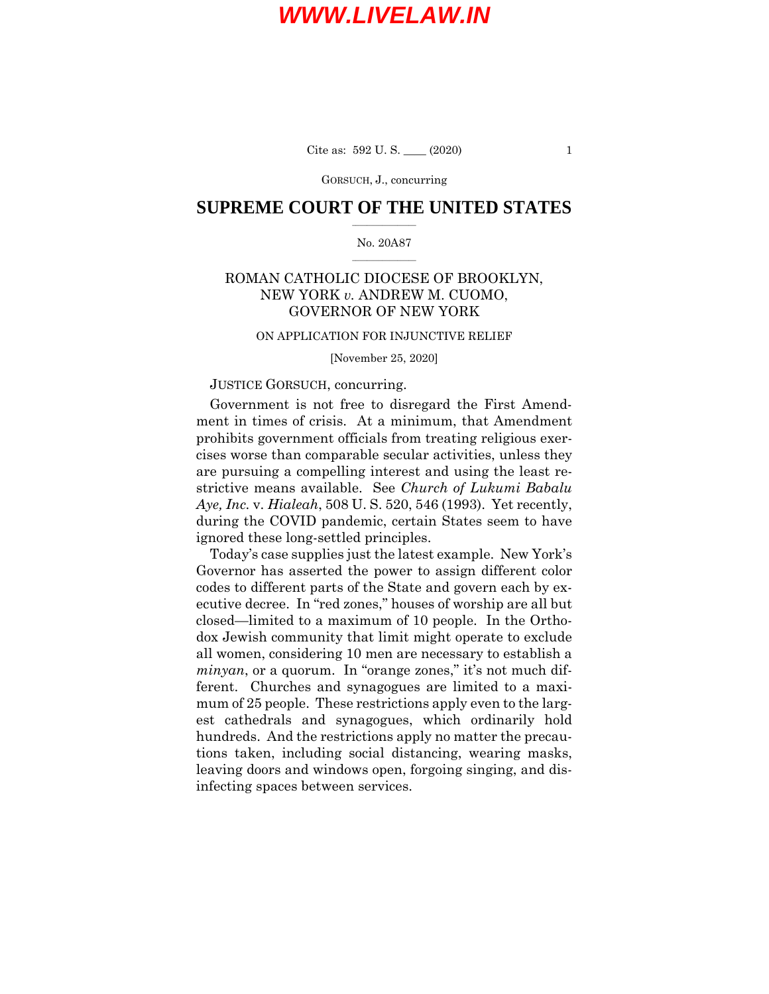Cite as: 592 U.S. \_\_\_\_ (2020) 1

GORSUCH, J., concurring

### $\frac{1}{2}$  ,  $\frac{1}{2}$  ,  $\frac{1}{2}$  ,  $\frac{1}{2}$  ,  $\frac{1}{2}$  ,  $\frac{1}{2}$  ,  $\frac{1}{2}$ **SUPREME COURT OF THE UNITED STATES**

#### $\frac{1}{2}$  ,  $\frac{1}{2}$  ,  $\frac{1}{2}$  ,  $\frac{1}{2}$  ,  $\frac{1}{2}$  ,  $\frac{1}{2}$ No. 20A87

### ROMAN CATHOLIC DIOCESE OF BROOKLYN, NEW YORK *v.* ANDREW M. CUOMO, GOVERNOR OF NEW YORK

#### ON APPLICATION FOR INJUNCTIVE RELIEF

[November 25, 2020]

### JUSTICE GORSUCH, concurring.

Government is not free to disregard the First Amendment in times of crisis. At a minimum, that Amendment prohibits government officials from treating religious exercises worse than comparable secular activities, unless they are pursuing a compelling interest and using the least restrictive means available. See *Church of Lukumi Babalu Aye, Inc.* v. *Hialeah*, 508 U. S. 520, 546 (1993). Yet recently, during the COVID pandemic, certain States seem to have ignored these long-settled principles.

 closed—limited to a maximum of 10 people. In the Ortho-Today's case supplies just the latest example. New York's Governor has asserted the power to assign different color codes to different parts of the State and govern each by executive decree. In "red zones," houses of worship are all but dox Jewish community that limit might operate to exclude all women, considering 10 men are necessary to establish a *minyan*, or a quorum. In "orange zones," it's not much different. Churches and synagogues are limited to a maximum of 25 people. These restrictions apply even to the largest cathedrals and synagogues, which ordinarily hold hundreds. And the restrictions apply no matter the precautions taken, including social distancing, wearing masks, leaving doors and windows open, forgoing singing, and disinfecting spaces between services.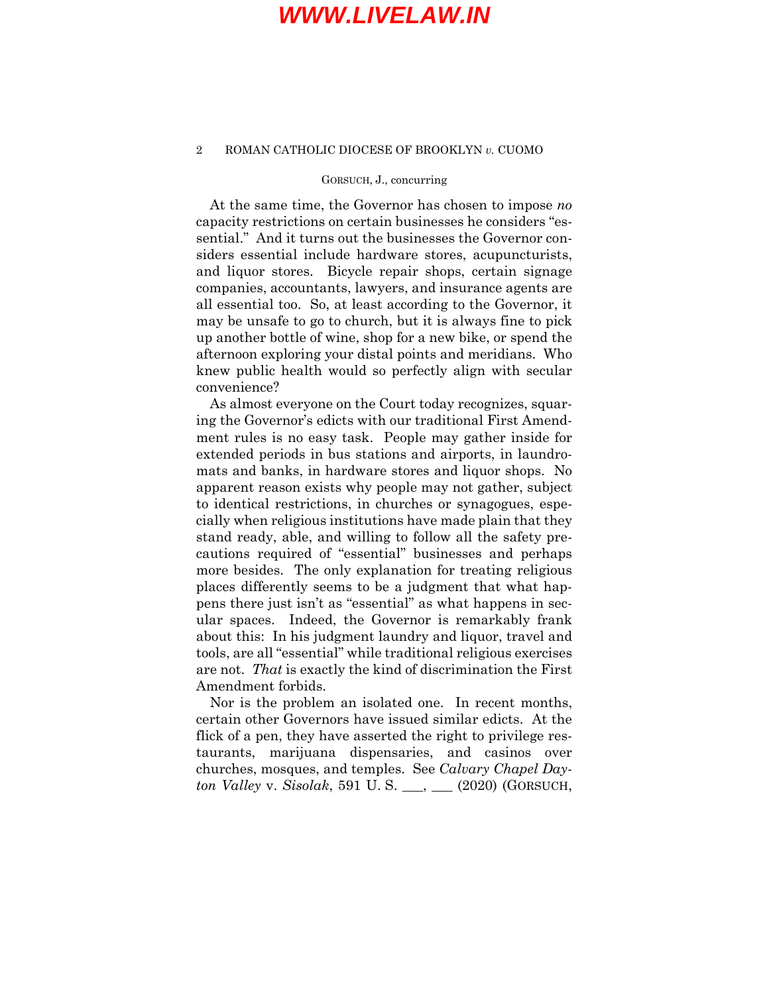#### 2 ROMAN CATHOLIC DIOCESE OF BROOKLYN *v.* CUOMO

#### GORSUCH, J., concurring

At the same time, the Governor has chosen to impose *no*  capacity restrictions on certain businesses he considers "essential." And it turns out the businesses the Governor considers essential include hardware stores, acupuncturists, and liquor stores. Bicycle repair shops, certain signage companies, accountants, lawyers, and insurance agents are all essential too. So, at least according to the Governor, it may be unsafe to go to church, but it is always fine to pick up another bottle of wine, shop for a new bike, or spend the afternoon exploring your distal points and meridians. Who knew public health would so perfectly align with secular convenience?

 mats and banks, in hardware stores and liquor shops. No As almost everyone on the Court today recognizes, squaring the Governor's edicts with our traditional First Amendment rules is no easy task. People may gather inside for extended periods in bus stations and airports, in laundroapparent reason exists why people may not gather, subject to identical restrictions, in churches or synagogues, especially when religious institutions have made plain that they stand ready, able, and willing to follow all the safety precautions required of "essential" businesses and perhaps more besides. The only explanation for treating religious places differently seems to be a judgment that what happens there just isn't as "essential" as what happens in secular spaces. Indeed, the Governor is remarkably frank about this: In his judgment laundry and liquor, travel and tools, are all "essential" while traditional religious exercises are not. *That* is exactly the kind of discrimination the First Amendment forbids.

Nor is the problem an isolated one. In recent months, certain other Governors have issued similar edicts. At the flick of a pen, they have asserted the right to privilege restaurants, marijuana dispensaries, and casinos over churches, mosques, and temples. See *Calvary Chapel Dayton Valley* v. *Sisolak*, 591 U. S. \_\_\_, \_\_\_ (2020) (GORSUCH,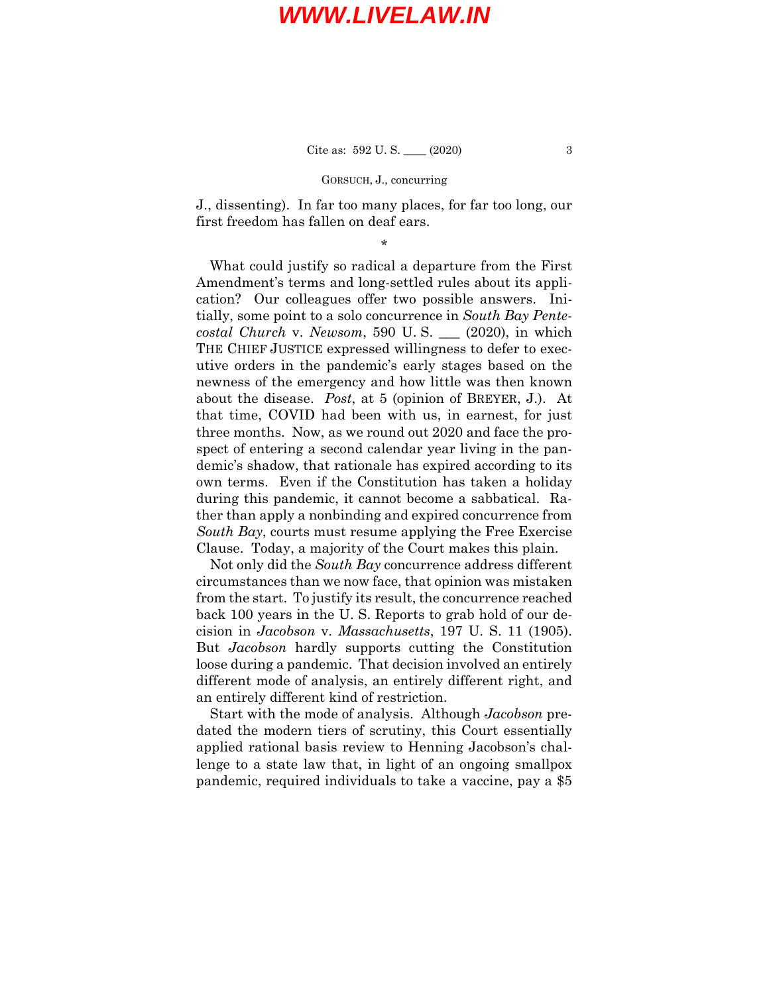Cite as: 592 U.S. \_\_\_\_ (2020) 3

#### GORSUCH, J., concurring

J., dissenting). In far too many places, for far too long, our first freedom has fallen on deaf ears.

\*

What could justify so radical a departure from the First Amendment's terms and long-settled rules about its application? Our colleagues offer two possible answers. Initially, some point to a solo concurrence in *South Bay Pentecostal Church* v. *Newsom*, 590 U. S. \_\_\_ (2020), in which THE CHIEF JUSTICE expressed willingness to defer to executive orders in the pandemic's early stages based on the newness of the emergency and how little was then known about the disease. *Post*, at 5 (opinion of BREYER, J.). At that time, COVID had been with us, in earnest, for just three months. Now, as we round out 2020 and face the prospect of entering a second calendar year living in the pandemic's shadow, that rationale has expired according to its own terms. Even if the Constitution has taken a holiday during this pandemic, it cannot become a sabbatical. Rather than apply a nonbinding and expired concurrence from *South Bay*, courts must resume applying the Free Exercise Clause. Today, a majority of the Court makes this plain.

Not only did the *South Bay* concurrence address different circumstances than we now face, that opinion was mistaken from the start. To justify its result, the concurrence reached back 100 years in the U. S. Reports to grab hold of our decision in *Jacobson* v. *Massachusetts*, 197 U. S. 11 (1905). But *Jacobson* hardly supports cutting the Constitution loose during a pandemic. That decision involved an entirely different mode of analysis, an entirely different right, and an entirely different kind of restriction.

Start with the mode of analysis. Although *Jacobson* predated the modern tiers of scrutiny, this Court essentially applied rational basis review to Henning Jacobson's challenge to a state law that, in light of an ongoing smallpox pandemic, required individuals to take a vaccine, pay a \$5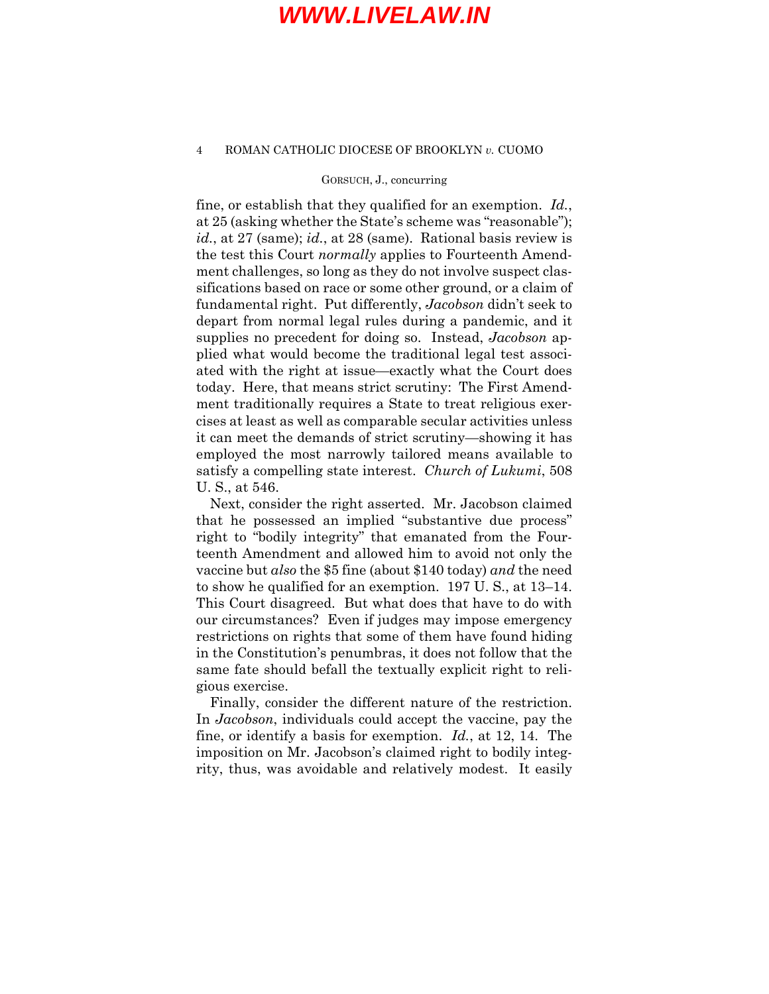#### 4 ROMAN CATHOLIC DIOCESE OF BROOKLYN *v.* CUOMO

#### GORSUCH, J., concurring

fine, or establish that they qualified for an exemption. *Id.*, at 25 (asking whether the State's scheme was "reasonable"); *id.*, at 27 (same); *id.*, at 28 (same). Rational basis review is the test this Court *normally* applies to Fourteenth Amendment challenges, so long as they do not involve suspect classifications based on race or some other ground, or a claim of fundamental right. Put differently, *Jacobson* didn't seek to depart from normal legal rules during a pandemic, and it supplies no precedent for doing so. Instead, *Jacobson* applied what would become the traditional legal test associated with the right at issue—exactly what the Court does today. Here, that means strict scrutiny: The First Amendment traditionally requires a State to treat religious exercises at least as well as comparable secular activities unless it can meet the demands of strict scrutiny—showing it has employed the most narrowly tailored means available to satisfy a compelling state interest. *Church of Lukumi*, 508 U. S., at 546.

Next, consider the right asserted. Mr. Jacobson claimed that he possessed an implied "substantive due process" right to "bodily integrity" that emanated from the Fourteenth Amendment and allowed him to avoid not only the vaccine but *also* the \$5 fine (about \$140 today) *and* the need to show he qualified for an exemption. 197 U. S., at 13–14. This Court disagreed. But what does that have to do with our circumstances? Even if judges may impose emergency restrictions on rights that some of them have found hiding in the Constitution's penumbras, it does not follow that the same fate should befall the textually explicit right to religious exercise.

 Finally, consider the different nature of the restriction. In *Jacobson*, individuals could accept the vaccine, pay the fine, or identify a basis for exemption. *Id.*, at 12, 14. The imposition on Mr. Jacobson's claimed right to bodily integrity, thus, was avoidable and relatively modest. It easily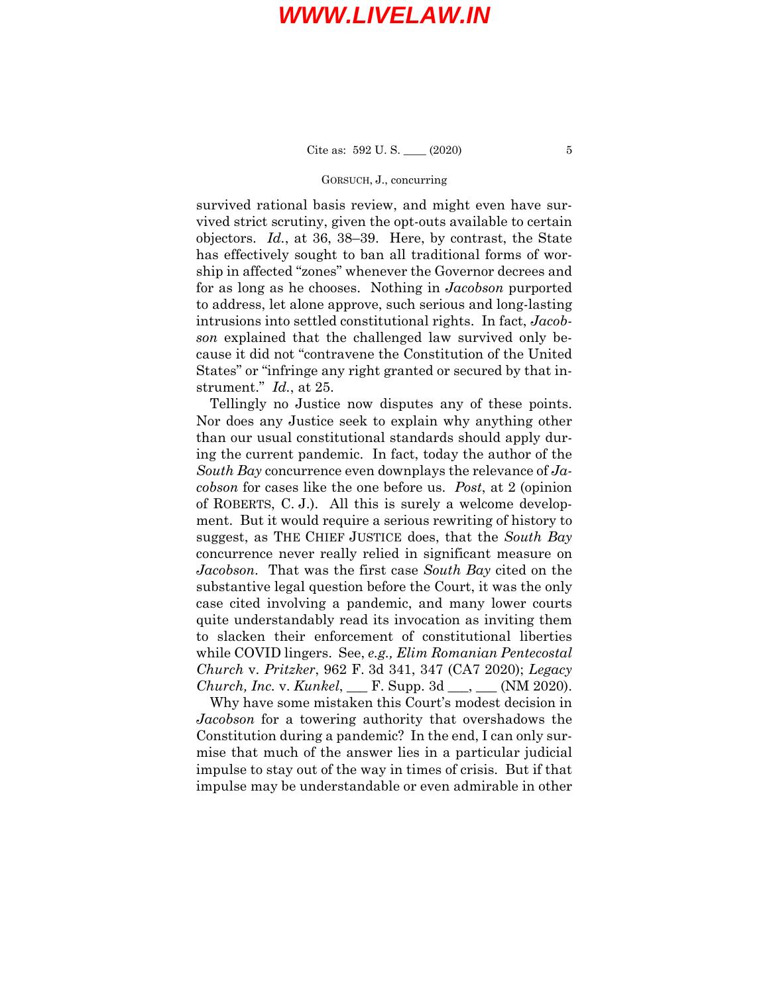Cite as: 592 U.S. \_\_\_\_ (2020) 5

#### GORSUCH, J., concurring

survived rational basis review, and might even have survived strict scrutiny, given the opt-outs available to certain objectors. *Id.*, at 36, 38–39. Here, by contrast, the State has effectively sought to ban all traditional forms of worship in affected "zones" whenever the Governor decrees and for as long as he chooses. Nothing in *Jacobson* purported to address, let alone approve, such serious and long-lasting intrusions into settled constitutional rights. In fact, *Jacobson* explained that the challenged law survived only because it did not "contravene the Constitution of the United States" or "infringe any right granted or secured by that instrument." *Id.*, at 25.

Tellingly no Justice now disputes any of these points. Nor does any Justice seek to explain why anything other than our usual constitutional standards should apply during the current pandemic. In fact, today the author of the *South Bay* concurrence even downplays the relevance of *Jacobson* for cases like the one before us. *Post*, at 2 (opinion of ROBERTS, C. J.). All this is surely a welcome development. But it would require a serious rewriting of history to suggest, as THE CHIEF JUSTICE does, that the *South Bay*  concurrence never really relied in significant measure on *Jacobson*. That was the first case *South Bay* cited on the substantive legal question before the Court, it was the only case cited involving a pandemic, and many lower courts quite understandably read its invocation as inviting them to slacken their enforcement of constitutional liberties while COVID lingers. See, *e.g., Elim Romanian Pentecostal Church* v. *Pritzker*, 962 F. 3d 341, 347 (CA7 2020); *Legacy Church, Inc.* v. *Kunkel*, \_\_\_ F. Supp. 3d \_\_\_, \_\_\_ (NM 2020).

Why have some mistaken this Court's modest decision in *Jacobson* for a towering authority that overshadows the Constitution during a pandemic? In the end, I can only surmise that much of the answer lies in a particular judicial impulse to stay out of the way in times of crisis. But if that impulse may be understandable or even admirable in other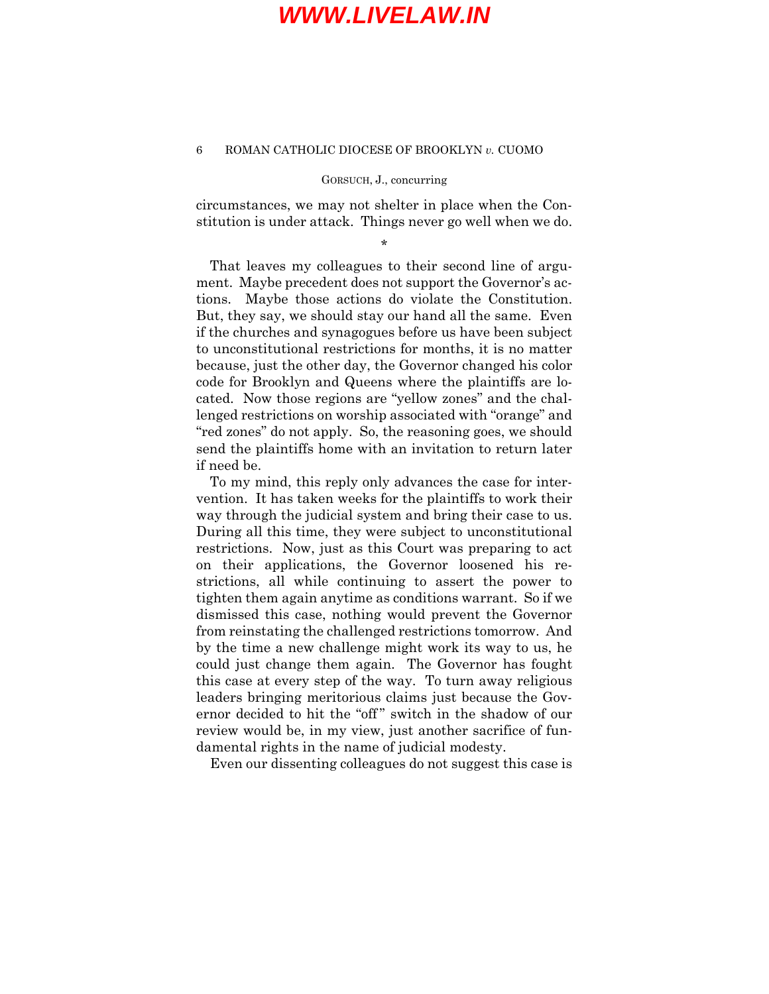### 6 ROMAN CATHOLIC DIOCESE OF BROOKLYN *v.* CUOMO

#### GORSUCH, J., concurring

circumstances, we may not shelter in place when the Constitution is under attack. Things never go well when we do.

\*

 tions. Maybe those actions do violate the Constitution. That leaves my colleagues to their second line of argument. Maybe precedent does not support the Governor's ac-But, they say, we should stay our hand all the same. Even if the churches and synagogues before us have been subject to unconstitutional restrictions for months, it is no matter because, just the other day, the Governor changed his color code for Brooklyn and Queens where the plaintiffs are located. Now those regions are "yellow zones" and the challenged restrictions on worship associated with "orange" and "red zones" do not apply. So, the reasoning goes, we should send the plaintiffs home with an invitation to return later if need be.

To my mind, this reply only advances the case for intervention. It has taken weeks for the plaintiffs to work their way through the judicial system and bring their case to us. During all this time, they were subject to unconstitutional restrictions. Now, just as this Court was preparing to act on their applications, the Governor loosened his restrictions, all while continuing to assert the power to tighten them again anytime as conditions warrant. So if we dismissed this case, nothing would prevent the Governor from reinstating the challenged restrictions tomorrow. And by the time a new challenge might work its way to us, he could just change them again. The Governor has fought this case at every step of the way. To turn away religious leaders bringing meritorious claims just because the Governor decided to hit the "off" switch in the shadow of our review would be, in my view, just another sacrifice of fundamental rights in the name of judicial modesty.

Even our dissenting colleagues do not suggest this case is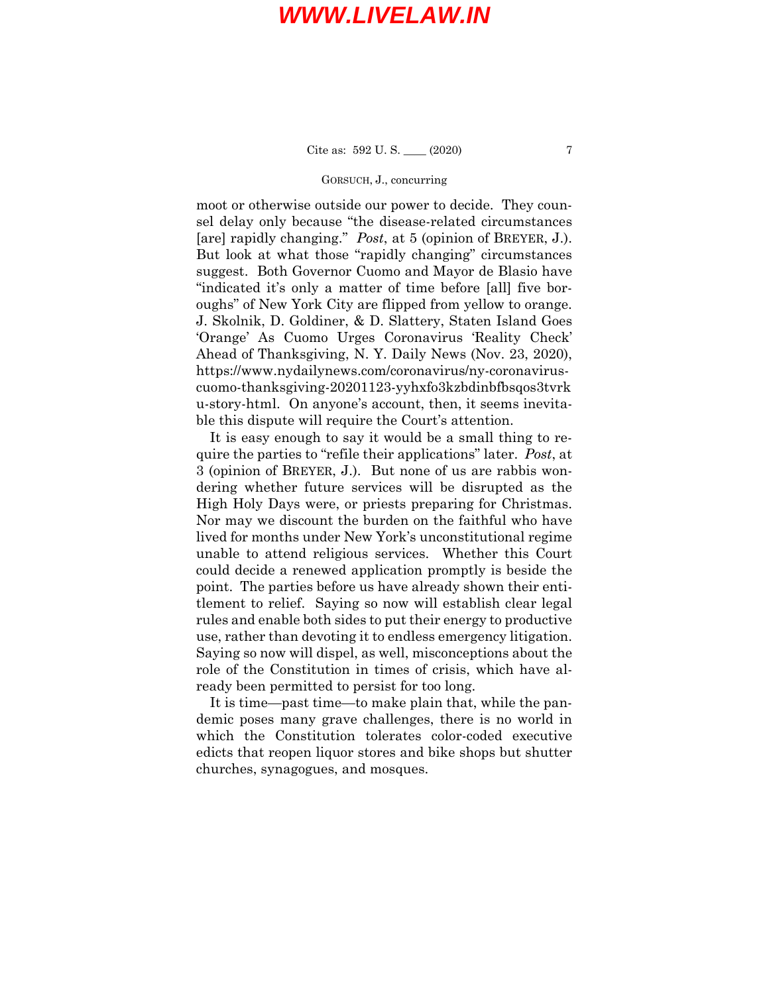Cite as: 592 U.S. \_\_\_\_ (2020) 7

#### GORSUCH, J., concurring

moot or otherwise outside our power to decide. They counsel delay only because "the disease-related circumstances [are] rapidly changing." *Post*, at 5 (opinion of BREYER, J.). But look at what those "rapidly changing" circumstances suggest. Both Governor Cuomo and Mayor de Blasio have "indicated it's only a matter of time before [all] five boroughs" of New York City are flipped from yellow to orange. J. Skolnik, D. Goldiner, & D. Slattery, Staten Island Goes 'Orange' As Cuomo Urges Coronavirus 'Reality Check' Ahead of Thanksgiving, N. Y. Daily News (Nov. 23, 2020), <https://www.nydailynews.com/coronavirus/ny-coronavirus>cuomo-thanksgiving-20201123-yyhxfo3kzbdinbfbsqos3tvrk u-story-html. On anyone's account, then, it seems inevitable this dispute will require the Court's attention.

It is easy enough to say it would be a small thing to require the parties to "refile their applications" later. *Post*, at 3 (opinion of BREYER, J.). But none of us are rabbis wondering whether future services will be disrupted as the High Holy Days were, or priests preparing for Christmas. Nor may we discount the burden on the faithful who have lived for months under New York's unconstitutional regime unable to attend religious services. Whether this Court could decide a renewed application promptly is beside the point. The parties before us have already shown their entitlement to relief. Saying so now will establish clear legal rules and enable both sides to put their energy to productive use, rather than devoting it to endless emergency litigation. Saying so now will dispel, as well, misconceptions about the role of the Constitution in times of crisis, which have already been permitted to persist for too long.

It is time—past time—to make plain that, while the pandemic poses many grave challenges, there is no world in which the Constitution tolerates color-coded executive edicts that reopen liquor stores and bike shops but shutter churches, synagogues, and mosques.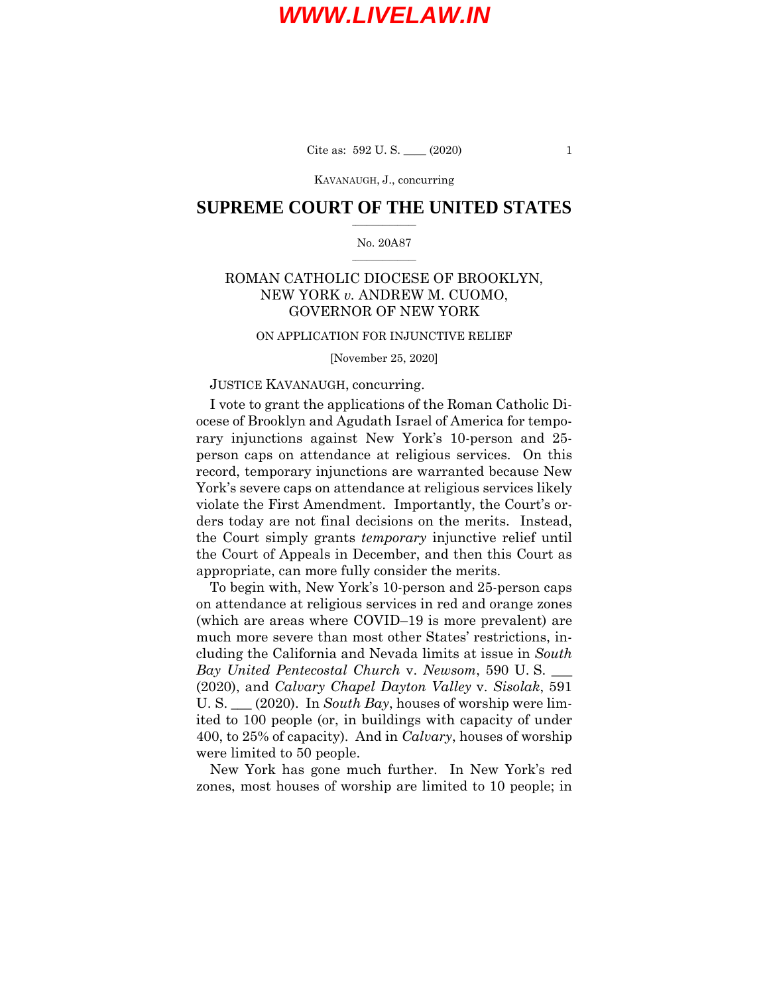Cite as: 592 U.S. \_\_\_\_ (2020) 1

KAVANAUGH, J., concurring

### $\frac{1}{2}$  ,  $\frac{1}{2}$  ,  $\frac{1}{2}$  ,  $\frac{1}{2}$  ,  $\frac{1}{2}$  ,  $\frac{1}{2}$  ,  $\frac{1}{2}$ **SUPREME COURT OF THE UNITED STATES**

#### $\frac{1}{2}$  ,  $\frac{1}{2}$  ,  $\frac{1}{2}$  ,  $\frac{1}{2}$  ,  $\frac{1}{2}$  ,  $\frac{1}{2}$ No. 20A87

### ROMAN CATHOLIC DIOCESE OF BROOKLYN, NEW YORK *v.* ANDREW M. CUOMO, GOVERNOR OF NEW YORK

#### ON APPLICATION FOR INJUNCTIVE RELIEF

[November 25, 2020]

### JUSTICE KAVANAUGH, concurring.

I vote to grant the applications of the Roman Catholic Diocese of Brooklyn and Agudath Israel of America for temporary injunctions against New York's 10-person and 25 person caps on attendance at religious services. On this record, temporary injunctions are warranted because New York's severe caps on attendance at religious services likely violate the First Amendment. Importantly, the Court's orders today are not final decisions on the merits. Instead, the Court simply grants *temporary* injunctive relief until the Court of Appeals in December, and then this Court as appropriate, can more fully consider the merits.

To begin with, New York's 10-person and 25-person caps on attendance at religious services in red and orange zones (which are areas where COVID–19 is more prevalent) are much more severe than most other States' restrictions, including the California and Nevada limits at issue in *South Bay United Pentecostal Church* v. *Newsom*, 590 U. S. \_\_\_ (2020), and *Calvary Chapel Dayton Valley* v. *Sisolak*, 591 U. S. \_\_\_ (2020). In *South Bay*, houses of worship were limited to 100 people (or, in buildings with capacity of under 400, to 25% of capacity). And in *Calvary*, houses of worship were limited to 50 people.

New York has gone much further. In New York's red zones, most houses of worship are limited to 10 people; in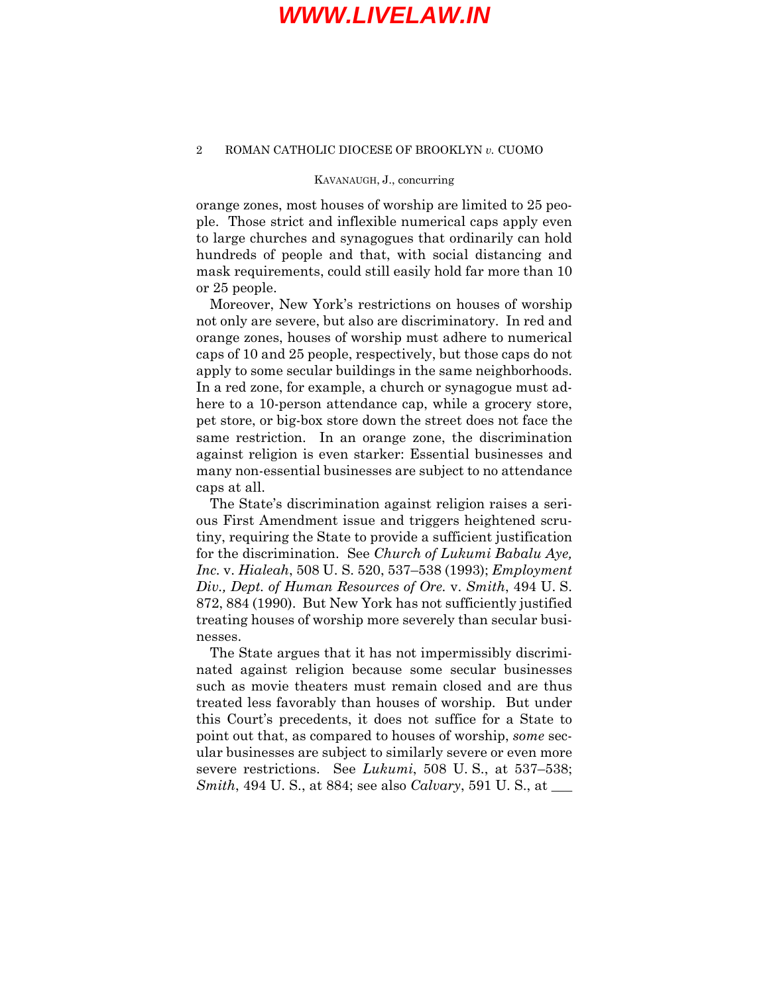### 2 ROMAN CATHOLIC DIOCESE OF BROOKLYN *v.* CUOMO

#### KAVANAUGH, J., concurring

orange zones, most houses of worship are limited to 25 people. Those strict and inflexible numerical caps apply even to large churches and synagogues that ordinarily can hold hundreds of people and that, with social distancing and mask requirements, could still easily hold far more than 10 or 25 people.

Moreover, New York's restrictions on houses of worship not only are severe, but also are discriminatory. In red and orange zones, houses of worship must adhere to numerical caps of 10 and 25 people, respectively, but those caps do not apply to some secular buildings in the same neighborhoods. In a red zone, for example, a church or synagogue must adhere to a 10-person attendance cap, while a grocery store, pet store, or big-box store down the street does not face the same restriction. In an orange zone, the discrimination against religion is even starker: Essential businesses and many non-essential businesses are subject to no attendance caps at all.

The State's discrimination against religion raises a serious First Amendment issue and triggers heightened scrutiny, requiring the State to provide a sufficient justification for the discrimination. See *Church of Lukumi Babalu Aye, Inc.* v. *Hialeah*, 508 U. S. 520, 537–538 (1993); *Employment Div., Dept. of Human Resources of Ore.* v. *Smith*, 494 U. S. 872, 884 (1990). But New York has not sufficiently justified treating houses of worship more severely than secular businesses.

The State argues that it has not impermissibly discriminated against religion because some secular businesses such as movie theaters must remain closed and are thus treated less favorably than houses of worship. But under this Court's precedents, it does not suffice for a State to point out that, as compared to houses of worship, *some* secular businesses are subject to similarly severe or even more severe restrictions. See *Lukumi*, 508 U. S., at 537–538; *Smith*, 494 U. S., at 884; see also *Calvary*, 591 U. S., at \_\_\_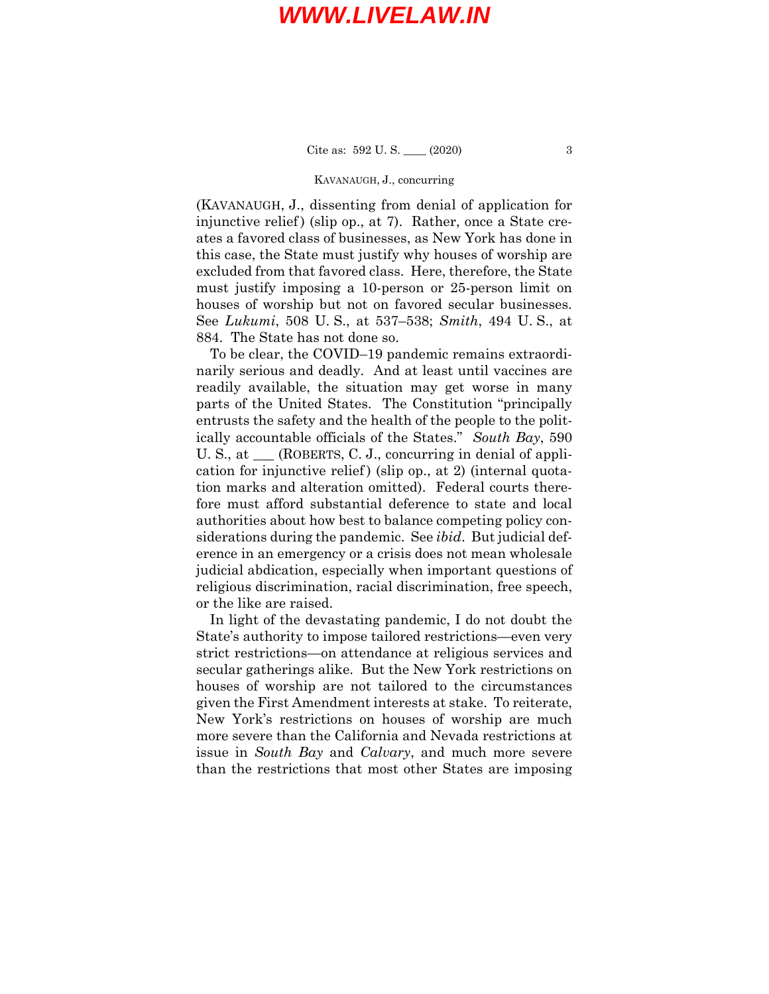Cite as: 592 U.S. \_\_\_\_ (2020) 3

#### KAVANAUGH, J., concurring

(KAVANAUGH, J., dissenting from denial of application for injunctive relief) (slip op., at 7). Rather, once a State creates a favored class of businesses, as New York has done in this case, the State must justify why houses of worship are excluded from that favored class. Here, therefore, the State must justify imposing a 10-person or 25-person limit on houses of worship but not on favored secular businesses. See *Lukumi*, 508 U. S., at 537–538; *Smith*, 494 U. S., at 884. The State has not done so.

To be clear, the COVID–19 pandemic remains extraordinarily serious and deadly. And at least until vaccines are readily available, the situation may get worse in many parts of the United States. The Constitution "principally entrusts the safety and the health of the people to the politically accountable officials of the States." *South Bay*, 590 U. S., at \_\_\_ (ROBERTS, C. J., concurring in denial of application for injunctive relief) (slip op., at 2) (internal quotation marks and alteration omitted). Federal courts therefore must afford substantial deference to state and local authorities about how best to balance competing policy considerations during the pandemic. See *ibid*. But judicial deference in an emergency or a crisis does not mean wholesale judicial abdication, especially when important questions of religious discrimination, racial discrimination, free speech, or the like are raised.

In light of the devastating pandemic, I do not doubt the State's authority to impose tailored restrictions—even very strict restrictions—on attendance at religious services and secular gatherings alike. But the New York restrictions on houses of worship are not tailored to the circumstances given the First Amendment interests at stake. To reiterate, New York's restrictions on houses of worship are much more severe than the California and Nevada restrictions at issue in *South Bay* and *Calvary*, and much more severe than the restrictions that most other States are imposing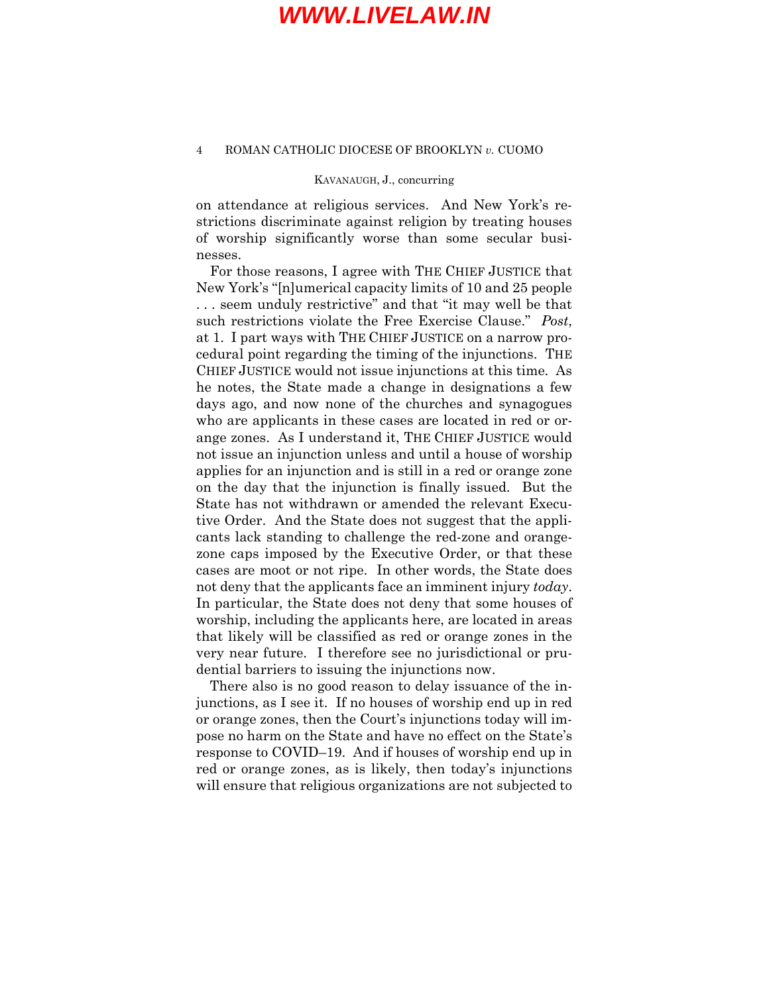### 4 ROMAN CATHOLIC DIOCESE OF BROOKLYN *v.* CUOMO

#### KAVANAUGH, J., concurring

on attendance at religious services. And New York's restrictions discriminate against religion by treating houses of worship significantly worse than some secular businesses.

For those reasons, I agree with THE CHIEF JUSTICE that New York's "[n]umerical capacity limits of 10 and 25 people . . . seem unduly restrictive" and that "it may well be that such restrictions violate the Free Exercise Clause." *Post*, at 1. I part ways with THE CHIEF JUSTICE on a narrow procedural point regarding the timing of the injunctions. THE CHIEF JUSTICE would not issue injunctions at this time*.* As he notes, the State made a change in designations a few days ago, and now none of the churches and synagogues who are applicants in these cases are located in red or orange zones. As I understand it, THE CHIEF JUSTICE would not issue an injunction unless and until a house of worship applies for an injunction and is still in a red or orange zone on the day that the injunction is finally issued. But the State has not withdrawn or amended the relevant Executive Order. And the State does not suggest that the applicants lack standing to challenge the red-zone and orangezone caps imposed by the Executive Order, or that these cases are moot or not ripe. In other words, the State does not deny that the applicants face an imminent injury *today*. In particular, the State does not deny that some houses of worship, including the applicants here, are located in areas that likely will be classified as red or orange zones in the very near future. I therefore see no jurisdictional or prudential barriers to issuing the injunctions now.

There also is no good reason to delay issuance of the injunctions, as I see it. If no houses of worship end up in red or orange zones, then the Court's injunctions today will impose no harm on the State and have no effect on the State's response to COVID–19. And if houses of worship end up in red or orange zones, as is likely, then today's injunctions will ensure that religious organizations are not subjected to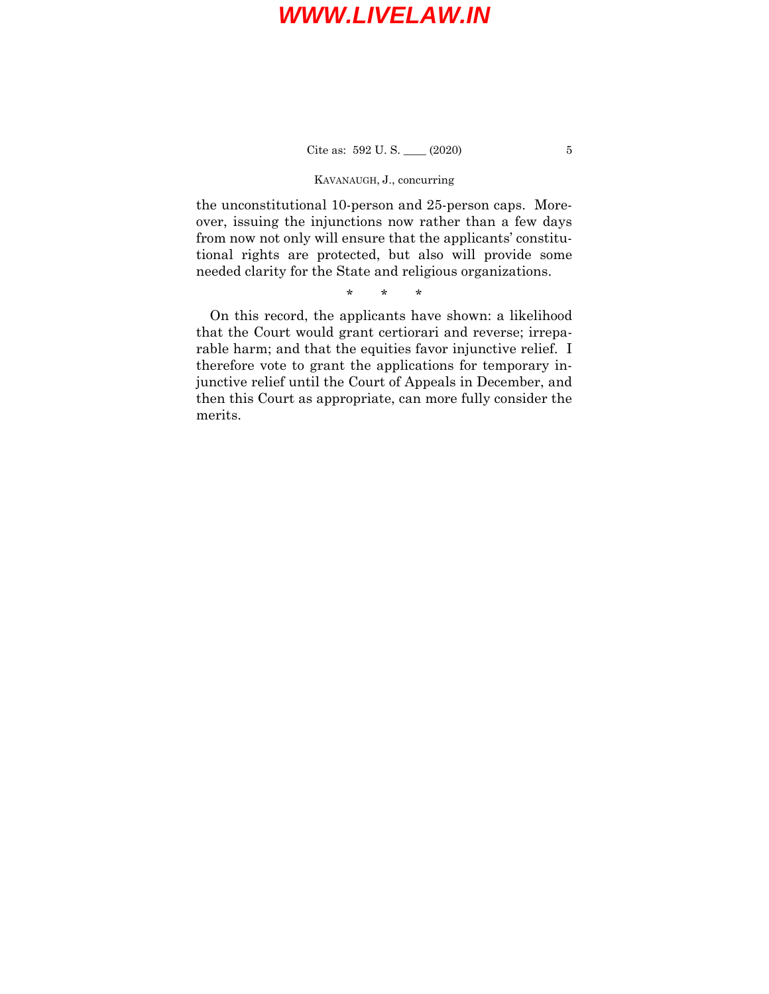Cite as: 592 U.S. \_\_\_\_ (2020) 5

### KAVANAUGH, J., concurring

the unconstitutional 10-person and 25-person caps. Moreover, issuing the injunctions now rather than a few days from now not only will ensure that the applicants' constitutional rights are protected, but also will provide some needed clarity for the State and religious organizations.

\* \* \*

On this record, the applicants have shown: a likelihood that the Court would grant certiorari and reverse; irreparable harm; and that the equities favor injunctive relief. I therefore vote to grant the applications for temporary injunctive relief until the Court of Appeals in December, and then this Court as appropriate, can more fully consider the merits.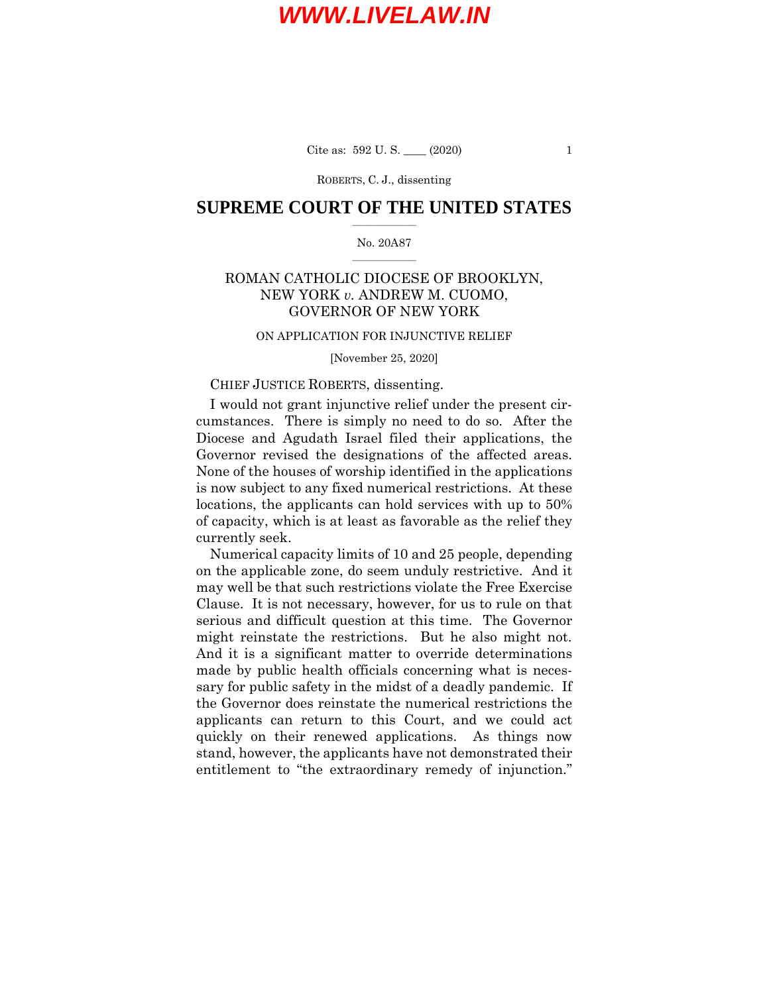Cite as: 592 U.S. \_\_\_\_ (2020) 1

ROBERTS, C. J., dissenting

### $\frac{1}{2}$  ,  $\frac{1}{2}$  ,  $\frac{1}{2}$  ,  $\frac{1}{2}$  ,  $\frac{1}{2}$  ,  $\frac{1}{2}$  ,  $\frac{1}{2}$ **SUPREME COURT OF THE UNITED STATES**

#### $\frac{1}{2}$  ,  $\frac{1}{2}$  ,  $\frac{1}{2}$  ,  $\frac{1}{2}$  ,  $\frac{1}{2}$  ,  $\frac{1}{2}$ No. 20A87

### ROMAN CATHOLIC DIOCESE OF BROOKLYN, NEW YORK *v.* ANDREW M. CUOMO, GOVERNOR OF NEW YORK

### ON APPLICATION FOR INJUNCTIVE RELIEF

[November 25, 2020]

### CHIEF JUSTICE ROBERTS, dissenting.

I would not grant injunctive relief under the present circumstances. There is simply no need to do so. After the Diocese and Agudath Israel filed their applications, the Governor revised the designations of the affected areas. None of the houses of worship identified in the applications is now subject to any fixed numerical restrictions. At these locations, the applicants can hold services with up to 50% of capacity, which is at least as favorable as the relief they currently seek.

 might reinstate the restrictions. But he also might not. entitlement to "the extraordinary remedy of injunction." Numerical capacity limits of 10 and 25 people, depending on the applicable zone, do seem unduly restrictive. And it may well be that such restrictions violate the Free Exercise Clause. It is not necessary, however, for us to rule on that serious and difficult question at this time. The Governor And it is a significant matter to override determinations made by public health officials concerning what is necessary for public safety in the midst of a deadly pandemic. If the Governor does reinstate the numerical restrictions the applicants can return to this Court, and we could act quickly on their renewed applications. As things now stand, however, the applicants have not demonstrated their **EXTRAMATION CONSTRAMATION**<br>
FROM CHEAT CONSISTS, C.J., dissenting<br>
SUPREME COURT OF THE UNITED STATES<br>
No. 20487<br>
No. 20487<br>
NOMAN CATHOLIC DIOCESE OF BROOKLYN,<br>
NEW YORK c. ANDREW M. CUVAO,<br>
GOVERNOR OF NEW YORK<br>
ON FRIE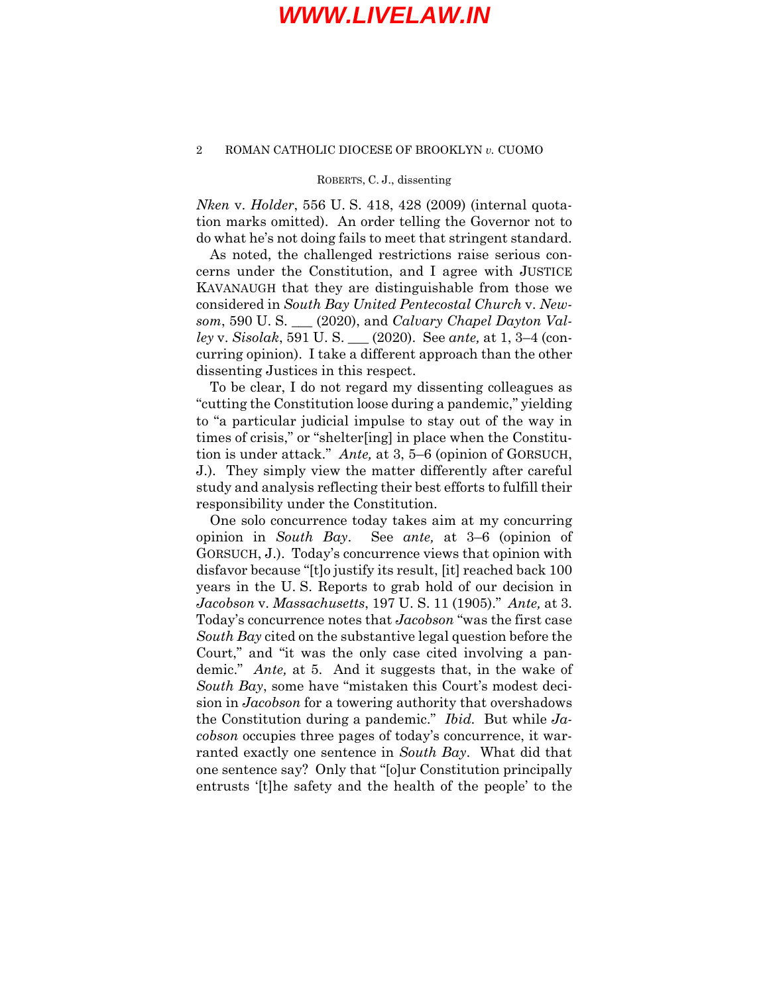### 2 ROMAN CATHOLIC DIOCESE OF BROOKLYN *v.* CUOMO

#### ROBERTS, C. J., dissenting

*Nken* v. *Holder*, 556 U. S. 418, 428 (2009) (internal quotation marks omitted). An order telling the Governor not to do what he's not doing fails to meet that stringent standard.

As noted, the challenged restrictions raise serious concerns under the Constitution, and I agree with JUSTICE KAVANAUGH that they are distinguishable from those we considered in *South Bay United Pentecostal Church* v. *Newsom*, 590 U. S. \_\_\_ (2020), and *Calvary Chapel Dayton Valley* v. *Sisolak*, 591 U. S. \_\_\_ (2020). See *ante,* at 1, 3–4 (concurring opinion). I take a different approach than the other dissenting Justices in this respect.

 tion is under attack." *Ante,* at 3, 5–6 (opinion of GORSUCH, To be clear, I do not regard my dissenting colleagues as "cutting the Constitution loose during a pandemic," yielding to "a particular judicial impulse to stay out of the way in times of crisis," or "shelter[ing] in place when the Constitu-J.). They simply view the matter differently after careful study and analysis reflecting their best efforts to fulfill their responsibility under the Constitution.

 *Jacobson* v. *Massachusetts*, 197 U. S. 11 (1905)." *Ante,* at 3. the Constitution during a pandemic." *Ibid.* But while *Ja-*One solo concurrence today takes aim at my concurring opinion in *South Bay*. See *ante,* at 3–6 (opinion of GORSUCH, J.). Today's concurrence views that opinion with disfavor because "[t]o justify its result, [it] reached back 100 years in the U. S. Reports to grab hold of our decision in Today's concurrence notes that *Jacobson* "was the first case *South Bay* cited on the substantive legal question before the Court," and "it was the only case cited involving a pandemic." *Ante,* at 5. And it suggests that, in the wake of *South Bay*, some have "mistaken this Court's modest decision in *Jacobson* for a towering authority that overshadows *cobson* occupies three pages of today's concurrence, it warranted exactly one sentence in *South Bay*. What did that one sentence say? Only that "[o]ur Constitution principally entrusts '[t]he safety and the health of the people' to the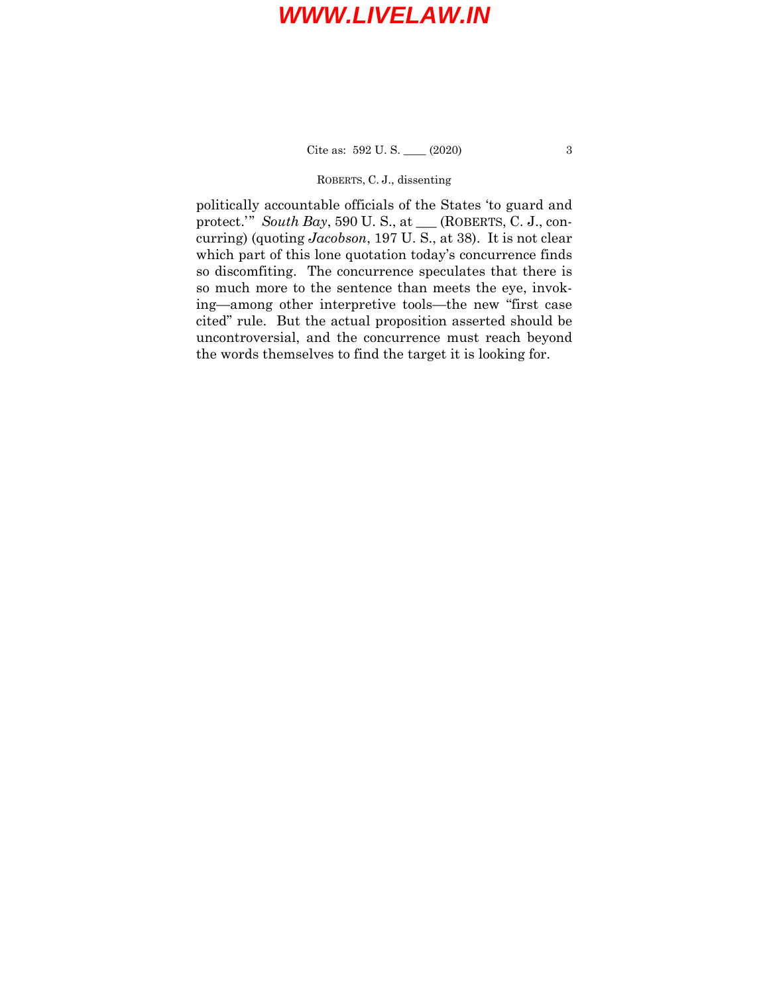Cite as: 592 U.S. \_\_\_\_ (2020) 3

#### ROBERTS, C. J., dissenting

politically accountable officials of the States 'to guard and protect.'" *South Bay*, 590 U. S., at \_\_\_ (ROBERTS, C. J., concurring) (quoting *Jacobson*, 197 U. S., at 38). It is not clear which part of this lone quotation today's concurrence finds so discomfiting. The concurrence speculates that there is so much more to the sentence than meets the eye, invoking—among other interpretive tools—the new "first case cited" rule. But the actual proposition asserted should be uncontroversial, and the concurrence must reach beyond the words themselves to find the target it is looking for.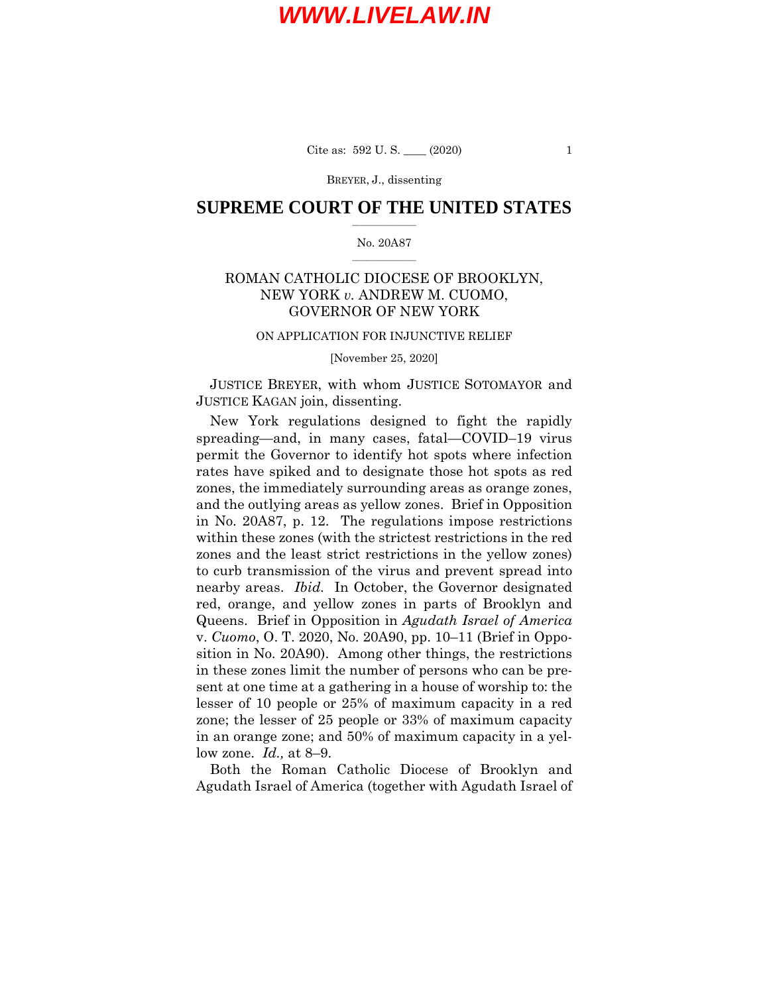Cite as: 592 U.S. \_\_\_\_ (2020) 1

BREYER, J., dissenting

### $\frac{1}{2}$  ,  $\frac{1}{2}$  ,  $\frac{1}{2}$  ,  $\frac{1}{2}$  ,  $\frac{1}{2}$  ,  $\frac{1}{2}$  ,  $\frac{1}{2}$ **SUPREME COURT OF THE UNITED STATES**

#### $\frac{1}{2}$  ,  $\frac{1}{2}$  ,  $\frac{1}{2}$  ,  $\frac{1}{2}$  ,  $\frac{1}{2}$  ,  $\frac{1}{2}$ No. 20A87

### ROMAN CATHOLIC DIOCESE OF BROOKLYN, NEW YORK *v.* ANDREW M. CUOMO, GOVERNOR OF NEW YORK

#### ON APPLICATION FOR INJUNCTIVE RELIEF

[November 25, 2020]

 JUSTICE BREYER, with whom JUSTICE SOTOMAYOR and JUSTICE KAGAN join, dissenting.

New York regulations designed to fight the rapidly spreading—and, in many cases, fatal—COVID–19 virus permit the Governor to identify hot spots where infection rates have spiked and to designate those hot spots as red zones, the immediately surrounding areas as orange zones, and the outlying areas as yellow zones. Brief in Opposition in No. 20A87, p. 12. The regulations impose restrictions within these zones (with the strictest restrictions in the red zones and the least strict restrictions in the yellow zones) to curb transmission of the virus and prevent spread into nearby areas. *Ibid.* In October, the Governor designated red, orange, and yellow zones in parts of Brooklyn and Queens. Brief in Opposition in *Agudath Israel of America*  v. *Cuomo*, O. T. 2020, No. 20A90, pp. 10–11 (Brief in Opposition in No. 20A90). Among other things, the restrictions in these zones limit the number of persons who can be present at one time at a gathering in a house of worship to: the lesser of 10 people or 25% of maximum capacity in a red zone; the lesser of 25 people or 33% of maximum capacity in an orange zone; and 50% of maximum capacity in a yellow zone. *Id.,* at 8–9.

Both the Roman Catholic Diocese of Brooklyn and Agudath Israel of America (together with Agudath Israel of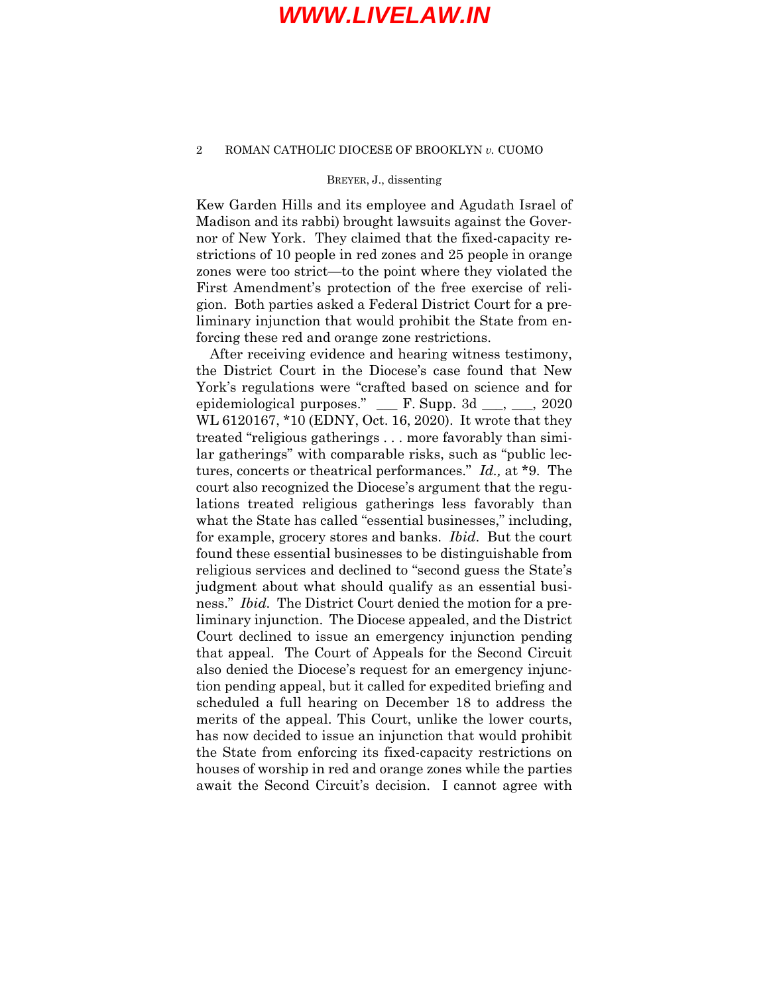### 2 ROMAN CATHOLIC DIOCESE OF BROOKLYN *v.* CUOMO

#### BREYER, J., dissenting

Kew Garden Hills and its employee and Agudath Israel of Madison and its rabbi) brought lawsuits against the Governor of New York. They claimed that the fixed-capacity restrictions of 10 people in red zones and 25 people in orange zones were too strict—to the point where they violated the First Amendment's protection of the free exercise of religion. Both parties asked a Federal District Court for a preliminary injunction that would prohibit the State from enforcing these red and orange zone restrictions.

After receiving evidence and hearing witness testimony, the District Court in the Diocese's case found that New York's regulations were "crafted based on science and for epidemiological purposes." \_\_\_ F. Supp. 3d \_\_\_, \_\_\_, 2020 WL 6120167, \*10 (EDNY, Oct. 16, 2020). It wrote that they treated "religious gatherings . . . more favorably than similar gatherings" with comparable risks, such as "public lectures, concerts or theatrical performances." *Id.,* at \*9. The court also recognized the Diocese's argument that the regulations treated religious gatherings less favorably than what the State has called "essential businesses," including, for example, grocery stores and banks. *Ibid*. But the court found these essential businesses to be distinguishable from religious services and declined to "second guess the State's judgment about what should qualify as an essential business." *Ibid.* The District Court denied the motion for a preliminary injunction. The Diocese appealed, and the District Court declined to issue an emergency injunction pending that appeal. The Court of Appeals for the Second Circuit also denied the Diocese's request for an emergency injunction pending appeal, but it called for expedited briefing and scheduled a full hearing on December 18 to address the merits of the appeal. This Court, unlike the lower courts, has now decided to issue an injunction that would prohibit the State from enforcing its fixed-capacity restrictions on houses of worship in red and orange zones while the parties await the Second Circuit's decision. I cannot agree with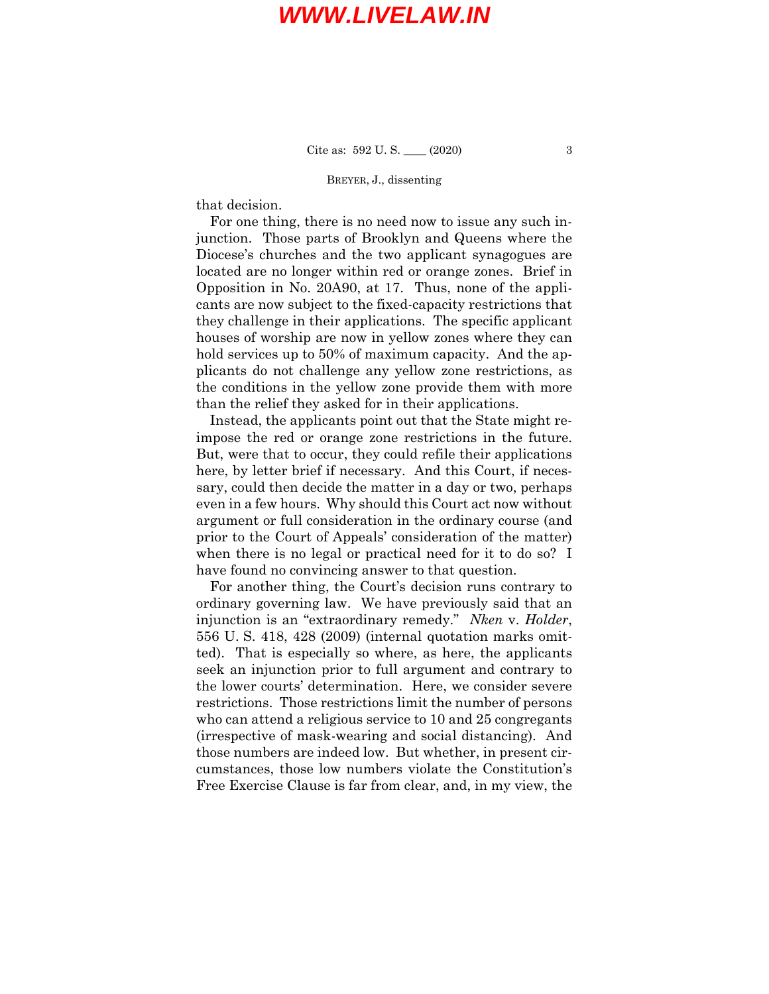Cite as: 592 U.S. \_\_\_\_ (2020) 3

#### BREYER, J., dissenting

that decision.

For one thing, there is no need now to issue any such injunction. Those parts of Brooklyn and Queens where the Diocese's churches and the two applicant synagogues are located are no longer within red or orange zones. Brief in Opposition in No. 20A90, at 17. Thus, none of the applicants are now subject to the fixed-capacity restrictions that they challenge in their applications. The specific applicant houses of worship are now in yellow zones where they can hold services up to 50% of maximum capacity. And the applicants do not challenge any yellow zone restrictions, as the conditions in the yellow zone provide them with more than the relief they asked for in their applications.

Instead, the applicants point out that the State might reimpose the red or orange zone restrictions in the future. But, were that to occur, they could refile their applications here, by letter brief if necessary. And this Court, if necessary, could then decide the matter in a day or two, perhaps even in a few hours. Why should this Court act now without argument or full consideration in the ordinary course (and prior to the Court of Appeals' consideration of the matter) when there is no legal or practical need for it to do so? I have found no convincing answer to that question.

 the lower courts' determination. Here, we consider severe For another thing, the Court's decision runs contrary to ordinary governing law. We have previously said that an injunction is an "extraordinary remedy." *Nken* v. *Holder*, 556 U. S. 418, 428 (2009) (internal quotation marks omitted). That is especially so where, as here, the applicants seek an injunction prior to full argument and contrary to restrictions. Those restrictions limit the number of persons who can attend a religious service to 10 and 25 congregants (irrespective of mask-wearing and social distancing). And those numbers are indeed low. But whether, in present circumstances, those low numbers violate the Constitution's Free Exercise Clause is far from clear, and, in my view, the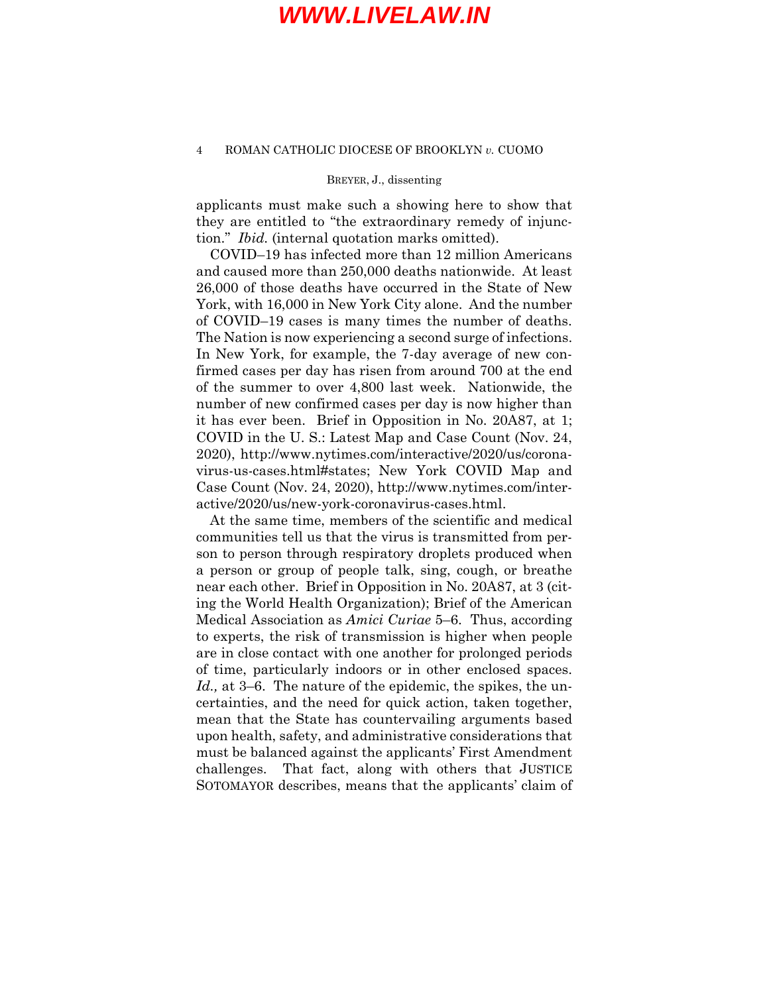#### 4 ROMAN CATHOLIC DIOCESE OF BROOKLYN *v.* CUOMO

#### BREYER, J., dissenting

applicants must make such a showing here to show that they are entitled to "the extraordinary remedy of injunction." *Ibid.* (internal quotation marks omitted).

 of COVID–19 cases is many times the number of deaths. COVID–19 has infected more than 12 million Americans and caused more than 250,000 deaths nationwide. At least 26,000 of those deaths have occurred in the State of New York, with 16,000 in New York City alone. And the number The Nation is now experiencing a second surge of infections. In New York, for example, the 7-day average of new confirmed cases per day has risen from around 700 at the end of the summer to over 4,800 last week. Nationwide, the number of new confirmed cases per day is now higher than it has ever been. Brief in Opposition in No. 20A87, at 1; COVID in the U. S.: Latest Map and Case Count (Nov. 24, 2020), <http://www.nytimes.com/interactive/2020/us/corona>virus-us-cases.html#states; New York COVID Map and Case Count (Nov. 24, 2020), <http://www.nytimes.com/inter>active/2020/us/new-york-coronavirus-cases.html.

At the same time, members of the scientific and medical communities tell us that the virus is transmitted from person to person through respiratory droplets produced when a person or group of people talk, sing, cough, or breathe near each other. Brief in Opposition in No. 20A87, at 3 (citing the World Health Organization); Brief of the American Medical Association as *Amici Curiae* 5–6. Thus, according to experts, the risk of transmission is higher when people are in close contact with one another for prolonged periods of time, particularly indoors or in other enclosed spaces. *Id.,* at 3–6. The nature of the epidemic, the spikes, the uncertainties, and the need for quick action, taken together, mean that the State has countervailing arguments based upon health, safety, and administrative considerations that must be balanced against the applicants' First Amendment challenges. That fact, along with others that JUSTICE SOTOMAYOR describes, means that the applicants' claim of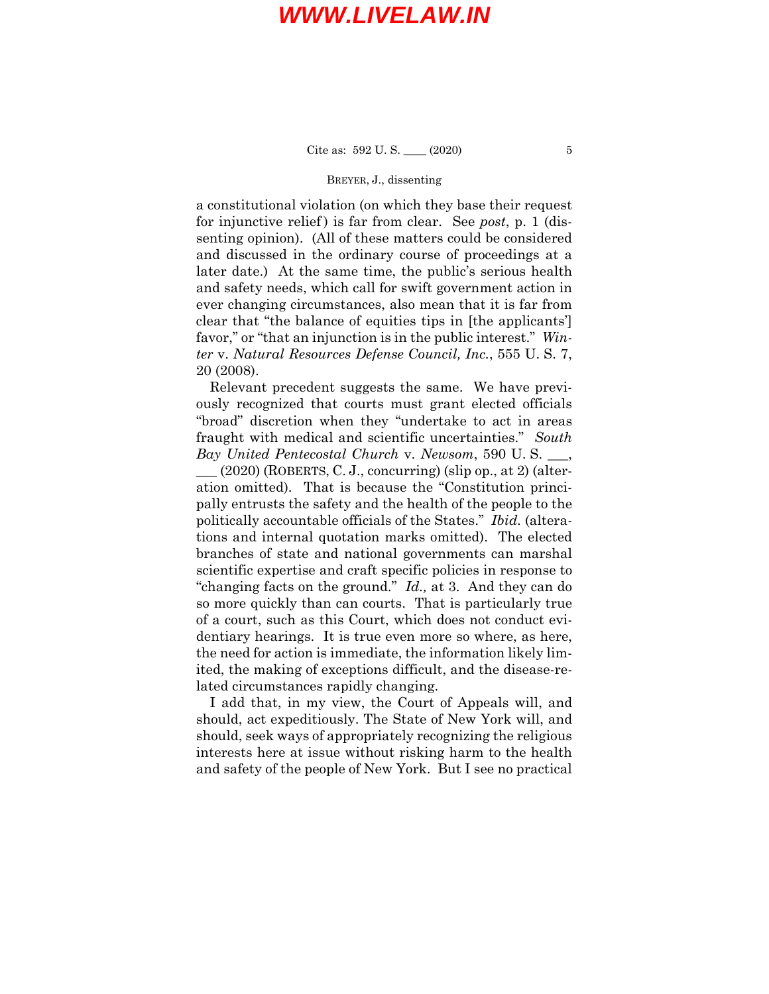Cite as: 592 U.S. \_\_\_\_ (2020) 5

#### BREYER, J., dissenting

a constitutional violation (on which they base their request for injunctive relief ) is far from clear. See *post*, p. 1 (dissenting opinion). (All of these matters could be considered and discussed in the ordinary course of proceedings at a later date.) At the same time, the public's serious health and safety needs, which call for swift government action in ever changing circumstances, also mean that it is far from clear that "the balance of equities tips in [the applicants'] favor," or "that an injunction is in the public interest." *Winter* v. *Natural Resources Defense Council, Inc.*, 555 U. S. 7, 20 (2008).

Relevant precedent suggests the same. We have previously recognized that courts must grant elected officials "broad" discretion when they "undertake to act in areas fraught with medical and scientific uncertainties." *South Bay United Pentecostal Church* v. *Newsom*, 590 U. S. \_\_\_,

 $\_\_$ (2020) (ROBERTS, C. J., concurring) (slip op., at 2) (alteration omitted). That is because the "Constitution principally entrusts the safety and the health of the people to the politically accountable officials of the States." *Ibid.* (alterations and internal quotation marks omitted). The elected branches of state and national governments can marshal scientific expertise and craft specific policies in response to "changing facts on the ground." *Id.,* at 3. And they can do so more quickly than can courts. That is particularly true of a court, such as this Court, which does not conduct evidentiary hearings. It is true even more so where, as here, the need for action is immediate, the information likely limited, the making of exceptions difficult, and the disease-related circumstances rapidly changing.

I add that, in my view, the Court of Appeals will, and should, act expeditiously. The State of New York will, and should, seek ways of appropriately recognizing the religious interests here at issue without risking harm to the health and safety of the people of New York. But I see no practical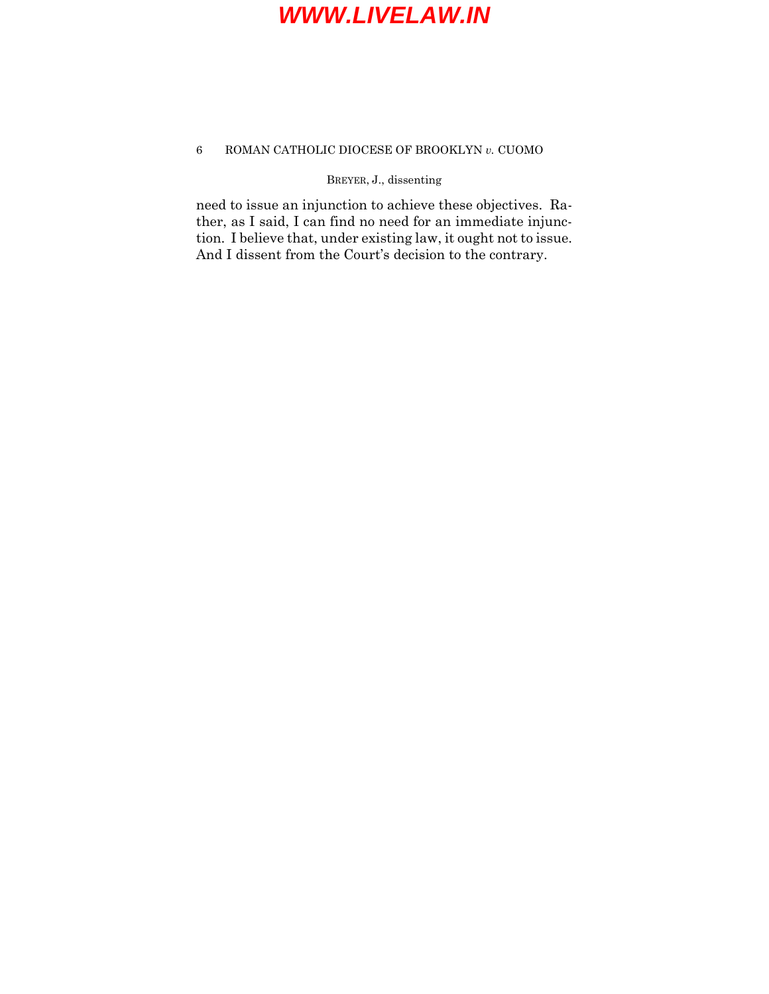### 6 ROMAN CATHOLIC DIOCESE OF BROOKLYN *v.* CUOMO

### BREYER, J., dissenting

need to issue an injunction to achieve these objectives. Rather, as I said, I can find no need for an immediate injunction. I believe that, under existing law, it ought not to issue. And I dissent from the Court's decision to the contrary.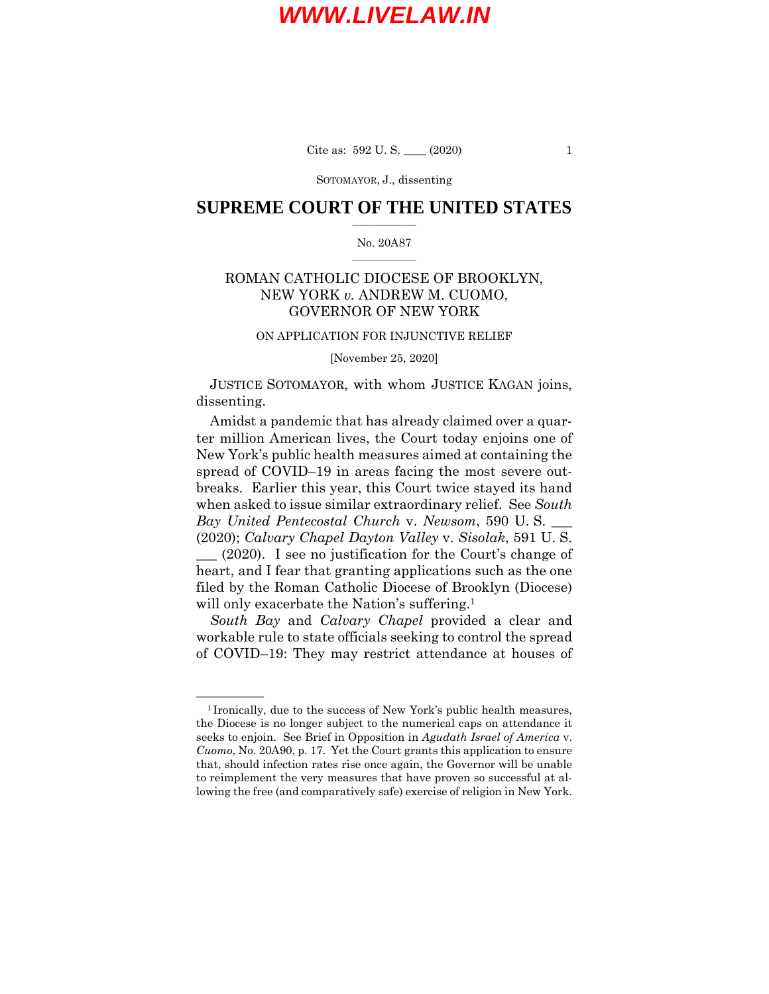Cite as: 592 U.S. \_\_\_\_ (2020) 1

SOTOMAYOR, J., dissenting

### $\frac{1}{2}$  ,  $\frac{1}{2}$  ,  $\frac{1}{2}$  ,  $\frac{1}{2}$  ,  $\frac{1}{2}$  ,  $\frac{1}{2}$  ,  $\frac{1}{2}$ **SUPREME COURT OF THE UNITED STATES**

#### $\frac{1}{2}$  ,  $\frac{1}{2}$  ,  $\frac{1}{2}$  ,  $\frac{1}{2}$  ,  $\frac{1}{2}$  ,  $\frac{1}{2}$ No. 20A87

### ROMAN CATHOLIC DIOCESE OF BROOKLYN, NEW YORK *v.* ANDREW M. CUOMO, GOVERNOR OF NEW YORK

#### ON APPLICATION FOR INJUNCTIVE RELIEF

[November 25, 2020]

 JUSTICE SOTOMAYOR, with whom JUSTICE KAGAN joins, dissenting.

Amidst a pandemic that has already claimed over a quarter million American lives, the Court today enjoins one of New York's public health measures aimed at containing the spread of COVID–19 in areas facing the most severe outbreaks. Earlier this year, this Court twice stayed its hand when asked to issue similar extraordinary relief. See *South Bay United Pentecostal Church* v. *Newsom*, 590 U. S. \_\_\_ (2020); *Calvary Chapel Dayton Valley* v. *Sisolak*, 591 U. S.

\_\_\_ (2020). I see no justification for the Court's change of heart, and I fear that granting applications such as the one filed by the Roman Catholic Diocese of Brooklyn (Diocese) will only exacerbate the Nation's suffering.<sup>1</sup>

*South Bay* and *Calvary Chapel* provided a clear and workable rule to state officials seeking to control the spread of COVID–19: They may restrict attendance at houses of

<sup>&</sup>lt;sup>1</sup> Ironically, due to the success of New York's public health measures, the Diocese is no longer subject to the numerical caps on attendance it seeks to enjoin. See Brief in Opposition in *Agudath Israel of America* v. *Cuomo*, No. 20A90, p. 17. Yet the Court grants this application to ensure that, should infection rates rise once again, the Governor will be unable to reimplement the very measures that have proven so successful at allowing the free (and comparatively safe) exercise of religion in New York.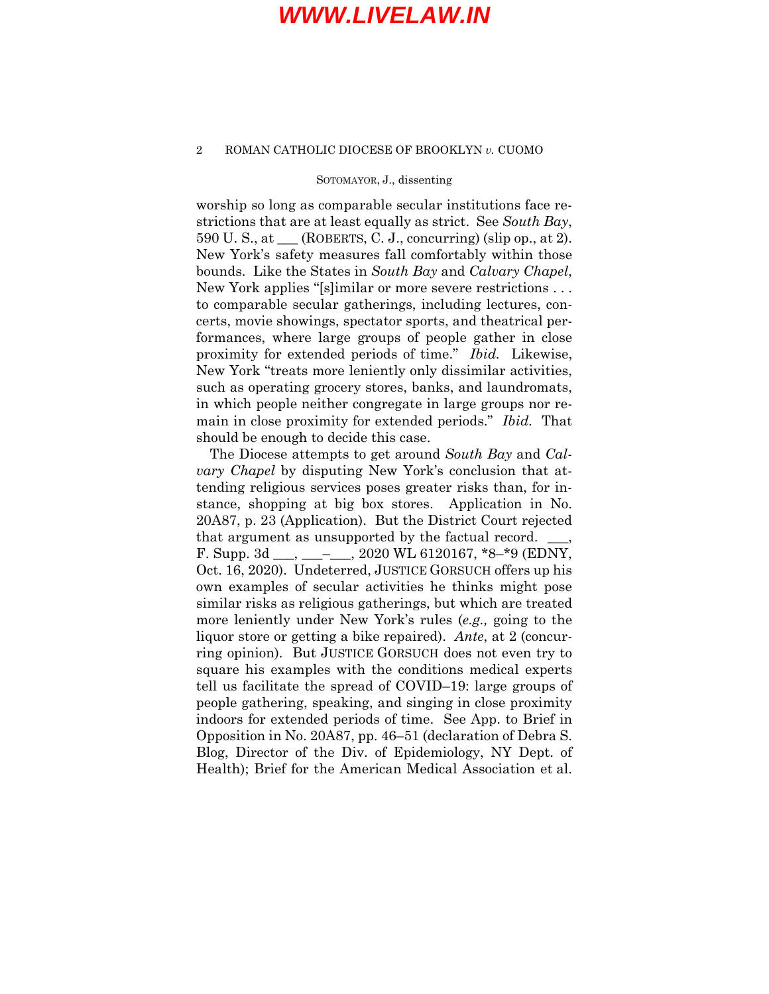### 2 ROMAN CATHOLIC DIOCESE OF BROOKLYN *v.* CUOMO

#### SOTOMAYOR, J., dissenting

worship so long as comparable secular institutions face restrictions that are at least equally as strict. See *South Bay*, 590 U. S., at  $\underline{\hspace{1cm}}$  (ROBERTS, C. J., concurring) (slip op., at 2). New York's safety measures fall comfortably within those bounds. Like the States in *South Bay* and *Calvary Chapel*, New York applies "[s]imilar or more severe restrictions . . . to comparable secular gatherings, including lectures, concerts, movie showings, spectator sports, and theatrical performances, where large groups of people gather in close proximity for extended periods of time." *Ibid.* Likewise, New York "treats more leniently only dissimilar activities, such as operating grocery stores, banks, and laundromats, in which people neither congregate in large groups nor remain in close proximity for extended periods." *Ibid.* That should be enough to decide this case.

The Diocese attempts to get around *South Bay* and *Calvary Chapel* by disputing New York's conclusion that attending religious services poses greater risks than, for instance, shopping at big box stores. Application in No. 20A87, p. 23 (Application). But the District Court rejected that argument as unsupported by the factual record. F. Supp. 3d \_\_\_, \_\_\_-\_\_\_, 2020 WL 6120167,  $*8-*9$  (EDNY, Oct. 16, 2020). Undeterred, JUSTICE GORSUCH offers up his own examples of secular activities he thinks might pose similar risks as religious gatherings, but which are treated more leniently under New York's rules (*e.g.,* going to the liquor store or getting a bike repaired). *Ante*, at 2 (concurring opinion). But JUSTICE GORSUCH does not even try to square his examples with the conditions medical experts tell us facilitate the spread of COVID–19: large groups of people gathering, speaking, and singing in close proximity indoors for extended periods of time. See App. to Brief in Opposition in No. 20A87, pp. 46–51 (declaration of Debra S. Blog, Director of the Div. of Epidemiology, NY Dept. of Health); Brief for the American Medical Association et al.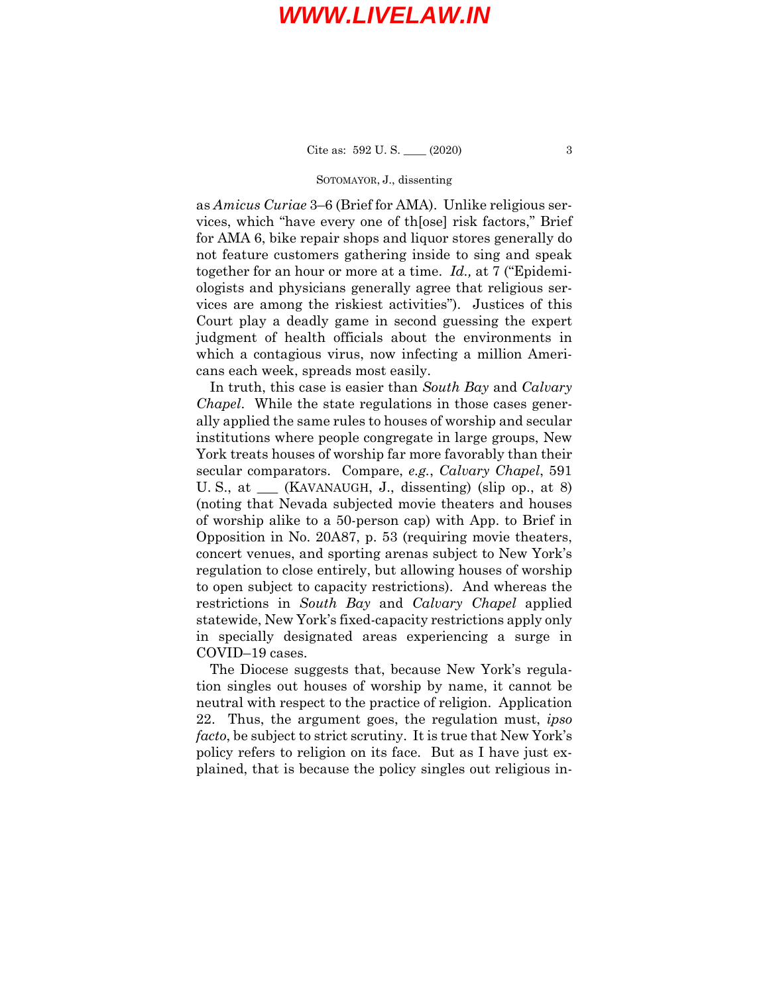Cite as: 592 U.S. \_\_\_\_ (2020) 3

#### SOTOMAYOR, J., dissenting

as *Amicus Curiae* 3–6 (Brief for AMA). Unlike religious services, which "have every one of th[ose] risk factors," Brief for AMA 6, bike repair shops and liquor stores generally do not feature customers gathering inside to sing and speak together for an hour or more at a time. *Id.,* at 7 ("Epidemiologists and physicians generally agree that religious services are among the riskiest activities"). Justices of this Court play a deadly game in second guessing the expert judgment of health officials about the environments in which a contagious virus, now infecting a million Americans each week, spreads most easily.

In truth, this case is easier than *South Bay* and *Calvary Chapel*. While the state regulations in those cases generally applied the same rules to houses of worship and secular institutions where people congregate in large groups, New York treats houses of worship far more favorably than their secular comparators. Compare, *e.g.*, *Calvary Chapel*, 591 U. S., at \_\_\_ (KAVANAUGH, J., dissenting) (slip op., at 8) (noting that Nevada subjected movie theaters and houses of worship alike to a 50-person cap) with App. to Brief in Opposition in No. 20A87, p. 53 (requiring movie theaters, concert venues, and sporting arenas subject to New York's regulation to close entirely, but allowing houses of worship to open subject to capacity restrictions). And whereas the restrictions in *South Bay* and *Calvary Chapel* applied statewide, New York's fixed-capacity restrictions apply only in specially designated areas experiencing a surge in COVID–19 cases.

The Diocese suggests that, because New York's regulation singles out houses of worship by name, it cannot be neutral with respect to the practice of religion. Application 22. Thus, the argument goes, the regulation must, *ipso facto*, be subject to strict scrutiny. It is true that New York's policy refers to religion on its face. But as I have just explained, that is because the policy singles out religious in-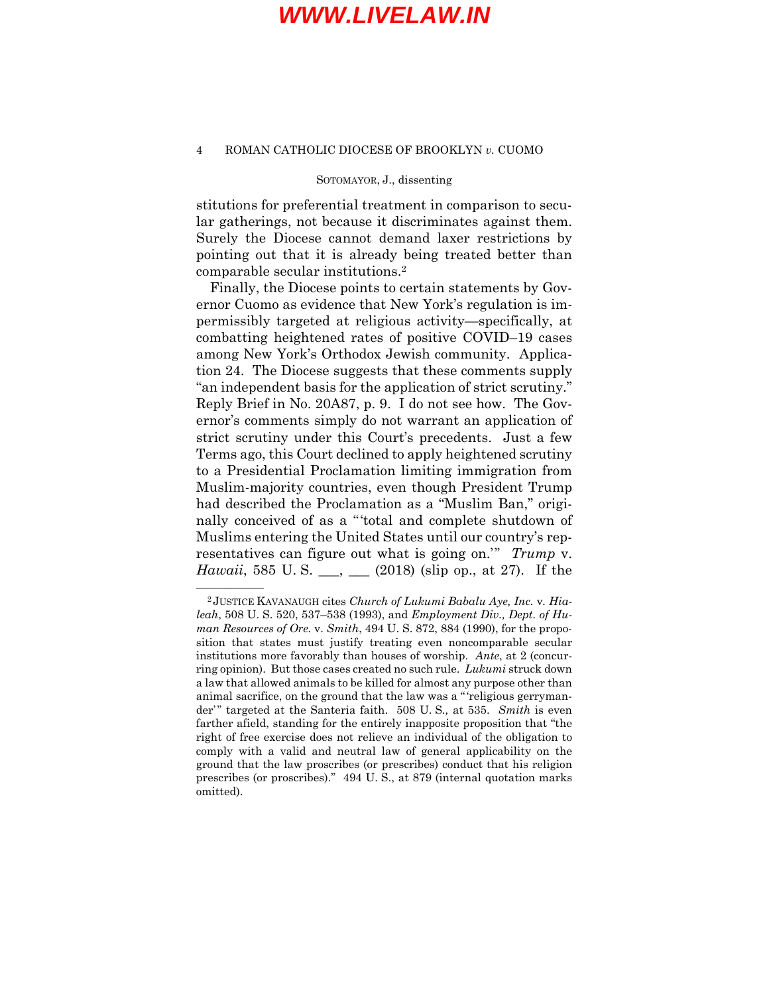### 4 ROMAN CATHOLIC DIOCESE OF BROOKLYN *v.* CUOMO

#### SOTOMAYOR, J., dissenting

stitutions for preferential treatment in comparison to secular gatherings, not because it discriminates against them. Surely the Diocese cannot demand laxer restrictions by pointing out that it is already being treated better than comparable secular institutions.2

Finally, the Diocese points to certain statements by Governor Cuomo as evidence that New York's regulation is impermissibly targeted at religious activity—specifically, at combatting heightened rates of positive COVID–19 cases among New York's Orthodox Jewish community. Application 24. The Diocese suggests that these comments supply "an independent basis for the application of strict scrutiny." Reply Brief in No. 20A87, p. 9. I do not see how. The Governor's comments simply do not warrant an application of strict scrutiny under this Court's precedents. Just a few Terms ago, this Court declined to apply heightened scrutiny to a Presidential Proclamation limiting immigration from Muslim-majority countries, even though President Trump had described the Proclamation as a "Muslim Ban," originally conceived of as a "'total and complete shutdown of Muslims entering the United States until our country's representatives can figure out what is going on.'" *Trump* v. *Hawaii*, 585 U.S. \_\_, \_\_ (2018) (slip op., at 27). If the

<sup>—————— 2</sup> JUSTICE KAVANAUGH cites *Church of Lukumi Babalu Aye, Inc.* v*. Hialeah*, 508 U. S. 520, 537–538 (1993), and *Employment Div., Dept. of Human Resources of Ore.* v. *Smith*, 494 U. S. 872, 884 (1990), for the proposition that states must justify treating even noncomparable secular institutions more favorably than houses of worship. *Ante*, at 2 (concurring opinion). But those cases created no such rule. *Lukumi* struck down a law that allowed animals to be killed for almost any purpose other than animal sacrifice, on the ground that the law was a " 'religious gerrymander'" targeted at the Santeria faith. 508 U.S., at 535. Smith is even farther afield, standing for the entirely inapposite proposition that "the right of free exercise does not relieve an individual of the obligation to comply with a valid and neutral law of general applicability on the ground that the law proscribes (or prescribes) conduct that his religion prescribes (or proscribes)." 494 U. S., at 879 (internal quotation marks omitted).